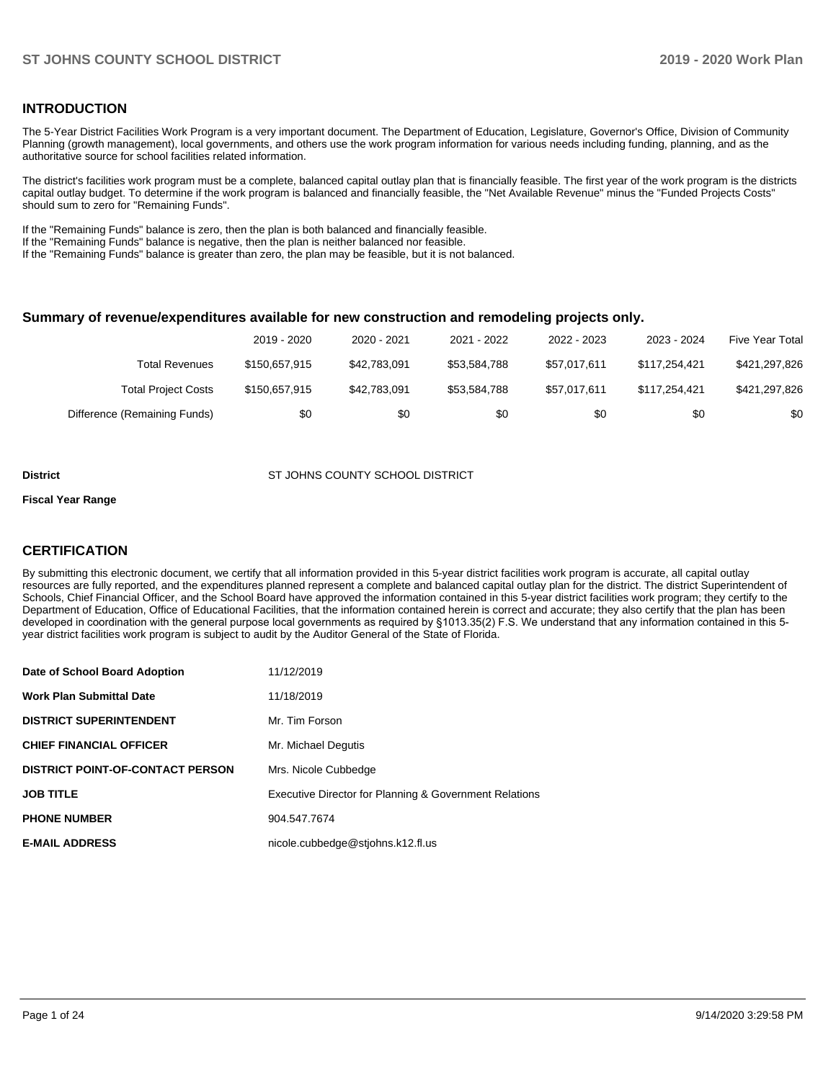## **INTRODUCTION**

The 5-Year District Facilities Work Program is a very important document. The Department of Education, Legislature, Governor's Office, Division of Community Planning (growth management), local governments, and others use the work program information for various needs including funding, planning, and as the authoritative source for school facilities related information.

The district's facilities work program must be a complete, balanced capital outlay plan that is financially feasible. The first year of the work program is the districts capital outlay budget. To determine if the work program is balanced and financially feasible, the "Net Available Revenue" minus the "Funded Projects Costs" should sum to zero for "Remaining Funds".

If the "Remaining Funds" balance is zero, then the plan is both balanced and financially feasible.

If the "Remaining Funds" balance is negative, then the plan is neither balanced nor feasible.

If the "Remaining Funds" balance is greater than zero, the plan may be feasible, but it is not balanced.

#### **Summary of revenue/expenditures available for new construction and remodeling projects only.**

|                              | 2019 - 2020   | 2020 - 2021  | 2021 - 2022  | 2022 - 2023  | 2023 - 2024   | <b>Five Year Total</b> |
|------------------------------|---------------|--------------|--------------|--------------|---------------|------------------------|
| Total Revenues               | \$150,657.915 | \$42.783.091 | \$53.584.788 | \$57.017.611 | \$117.254.421 | \$421,297,826          |
| <b>Total Project Costs</b>   | \$150,657.915 | \$42,783,091 | \$53,584.788 | \$57.017.611 | \$117.254.421 | \$421,297,826          |
| Difference (Remaining Funds) | \$0           | \$0          | \$0          | \$0          | \$0           | \$0                    |

#### **District ST JOHNS COUNTY SCHOOL DISTRICT**

#### **Fiscal Year Range**

## **CERTIFICATION**

By submitting this electronic document, we certify that all information provided in this 5-year district facilities work program is accurate, all capital outlay resources are fully reported, and the expenditures planned represent a complete and balanced capital outlay plan for the district. The district Superintendent of Schools, Chief Financial Officer, and the School Board have approved the information contained in this 5-year district facilities work program; they certify to the Department of Education, Office of Educational Facilities, that the information contained herein is correct and accurate; they also certify that the plan has been developed in coordination with the general purpose local governments as required by §1013.35(2) F.S. We understand that any information contained in this 5 year district facilities work program is subject to audit by the Auditor General of the State of Florida.

| Date of School Board Adoption           | 11/12/2019                                             |
|-----------------------------------------|--------------------------------------------------------|
| Work Plan Submittal Date                | 11/18/2019                                             |
| <b>DISTRICT SUPERINTENDENT</b>          | Mr. Tim Forson                                         |
| <b>CHIEF FINANCIAL OFFICER</b>          | Mr. Michael Degutis                                    |
| <b>DISTRICT POINT-OF-CONTACT PERSON</b> | Mrs. Nicole Cubbedge                                   |
| JOB TITLE                               | Executive Director for Planning & Government Relations |
| <b>PHONE NUMBER</b>                     | 904.547.7674                                           |
| <b>E-MAIL ADDRESS</b>                   | nicole.cubbedge@stjohns.k12.fl.us                      |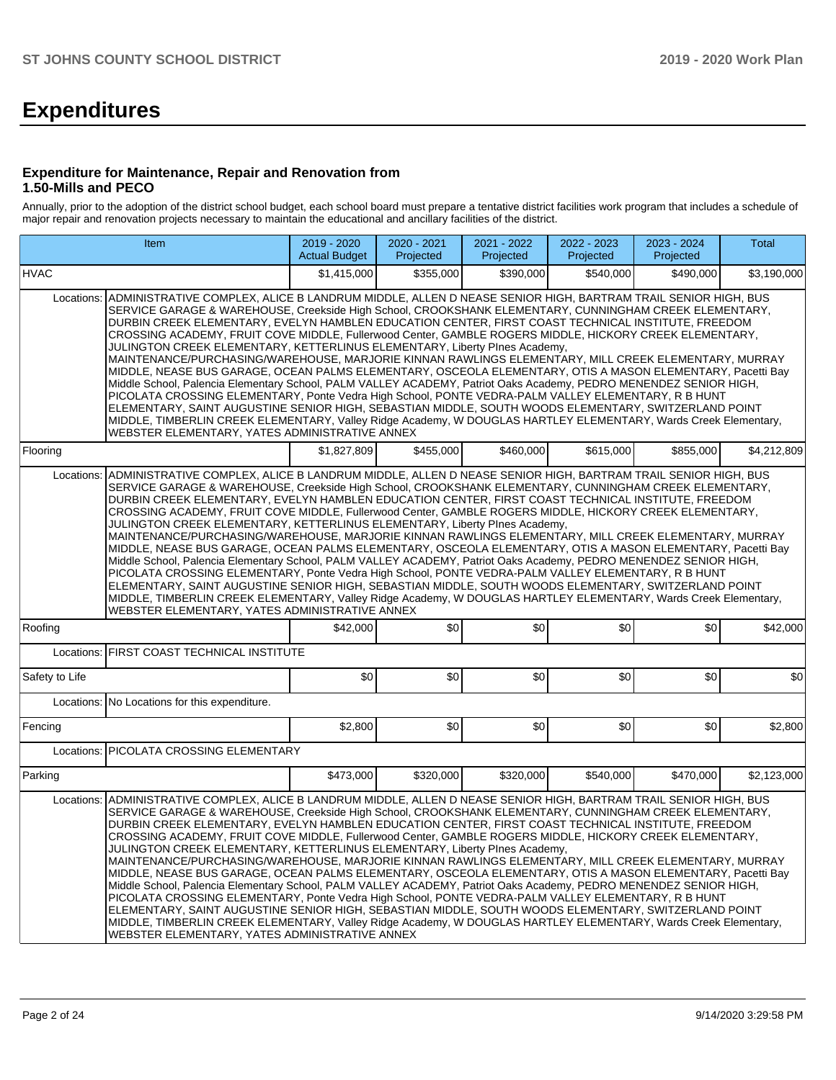# **Expenditures**

#### **Expenditure for Maintenance, Repair and Renovation from 1.50-Mills and PECO**

Annually, prior to the adoption of the district school budget, each school board must prepare a tentative district facilities work program that includes a schedule of major repair and renovation projects necessary to maintain the educational and ancillary facilities of the district.

|                                                                                                                                                                                                                                                                                                                                                                                                                                                                                                                                                                                                                                                                                                                                                                                                                                                                                                                                                                                                                                                                                                                                                                                                                                                                 | <b>Item</b>                                                                                                                                                                                                                                                                                                                                                                                                                                                                                                                                                                                                                                                                                                                                                                                                                                                                                                                                                                                                                                                                                                                                                                                                                                       |             | 2020 - 2021<br>Projected | $2021 - 2022$<br>Projected | 2022 - 2023<br>Projected | 2023 - 2024<br>Projected | Total       |  |  |  |  |
|-----------------------------------------------------------------------------------------------------------------------------------------------------------------------------------------------------------------------------------------------------------------------------------------------------------------------------------------------------------------------------------------------------------------------------------------------------------------------------------------------------------------------------------------------------------------------------------------------------------------------------------------------------------------------------------------------------------------------------------------------------------------------------------------------------------------------------------------------------------------------------------------------------------------------------------------------------------------------------------------------------------------------------------------------------------------------------------------------------------------------------------------------------------------------------------------------------------------------------------------------------------------|---------------------------------------------------------------------------------------------------------------------------------------------------------------------------------------------------------------------------------------------------------------------------------------------------------------------------------------------------------------------------------------------------------------------------------------------------------------------------------------------------------------------------------------------------------------------------------------------------------------------------------------------------------------------------------------------------------------------------------------------------------------------------------------------------------------------------------------------------------------------------------------------------------------------------------------------------------------------------------------------------------------------------------------------------------------------------------------------------------------------------------------------------------------------------------------------------------------------------------------------------|-------------|--------------------------|----------------------------|--------------------------|--------------------------|-------------|--|--|--|--|
| <b>HVAC</b>                                                                                                                                                                                                                                                                                                                                                                                                                                                                                                                                                                                                                                                                                                                                                                                                                                                                                                                                                                                                                                                                                                                                                                                                                                                     |                                                                                                                                                                                                                                                                                                                                                                                                                                                                                                                                                                                                                                                                                                                                                                                                                                                                                                                                                                                                                                                                                                                                                                                                                                                   | \$1,415,000 | \$355,000                | \$390,000                  | \$540,000                | \$490,000                | \$3,190,000 |  |  |  |  |
| Locations:                                                                                                                                                                                                                                                                                                                                                                                                                                                                                                                                                                                                                                                                                                                                                                                                                                                                                                                                                                                                                                                                                                                                                                                                                                                      | ADMINISTRATIVE COMPLEX, ALICE B LANDRUM MIDDLE, ALLEN D NEASE SENIOR HIGH, BARTRAM TRAIL SENIOR HIGH, BUS<br>SERVICE GARAGE & WAREHOUSE, Creekside High School, CROOKSHANK ELEMENTARY, CUNNINGHAM CREEK ELEMENTARY,<br>DURBIN CREEK ELEMENTARY, EVELYN HAMBLEN EDUCATION CENTER, FIRST COAST TECHNICAL INSTITUTE, FREEDOM<br>CROSSING ACADEMY, FRUIT COVE MIDDLE, Fullerwood Center, GAMBLE ROGERS MIDDLE, HICKORY CREEK ELEMENTARY,<br>JULINGTON CREEK ELEMENTARY, KETTERLINUS ELEMENTARY, Liberty PInes Academy,<br>MAINTENANCE/PURCHASING/WAREHOUSE, MARJORIE KINNAN RAWLINGS ELEMENTARY, MILL CREEK ELEMENTARY, MURRAY<br>MIDDLE, NEASE BUS GARAGE, OCEAN PALMS ELEMENTARY, OSCEOLA ELEMENTARY, OTIS A MASON ELEMENTARY, Pacetti Bay<br>Middle School, Palencia Elementary School, PALM VALLEY ACADEMY, Patriot Oaks Academy, PEDRO MENENDEZ SENIOR HIGH,<br>PICOLATA CROSSING ELEMENTARY, Ponte Vedra High School, PONTE VEDRA-PALM VALLEY ELEMENTARY, R B HUNT<br>ELEMENTARY, SAINT AUGUSTINE SENIOR HIGH, SEBASTIAN MIDDLE, SOUTH WOODS ELEMENTARY, SWITZERLAND POINT<br>MIDDLE, TIMBERLIN CREEK ELEMENTARY, Valley Ridge Academy, W DOUGLAS HARTLEY ELEMENTARY, Wards Creek Elementary,<br>WEBSTER ELEMENTARY, YATES ADMINISTRATIVE ANNEX |             |                          |                            |                          |                          |             |  |  |  |  |
| Flooring                                                                                                                                                                                                                                                                                                                                                                                                                                                                                                                                                                                                                                                                                                                                                                                                                                                                                                                                                                                                                                                                                                                                                                                                                                                        |                                                                                                                                                                                                                                                                                                                                                                                                                                                                                                                                                                                                                                                                                                                                                                                                                                                                                                                                                                                                                                                                                                                                                                                                                                                   | \$1.827.809 | \$455.000                | \$460.000                  | \$615.000                | \$855,000                | \$4.212.809 |  |  |  |  |
| ADMINISTRATIVE COMPLEX, ALICE B LANDRUM MIDDLE, ALLEN D NEASE SENIOR HIGH, BARTRAM TRAIL SENIOR HIGH, BUS<br>Locations:<br>SERVICE GARAGE & WAREHOUSE, Creekside High School, CROOKSHANK ELEMENTARY, CUNNINGHAM CREEK ELEMENTARY,<br>DURBIN CREEK ELEMENTARY, EVELYN HAMBLEN EDUCATION CENTER, FIRST COAST TECHNICAL INSTITUTE, FREEDOM<br>CROSSING ACADEMY, FRUIT COVE MIDDLE, Fullerwood Center, GAMBLE ROGERS MIDDLE, HICKORY CREEK ELEMENTARY,<br>JULINGTON CREEK ELEMENTARY, KETTERLINUS ELEMENTARY, Liberty PInes Academy,<br>MAINTENANCE/PURCHASING/WAREHOUSE, MARJORIE KINNAN RAWLINGS ELEMENTARY, MILL CREEK ELEMENTARY, MURRAY<br>MIDDLE, NEASE BUS GARAGE, OCEAN PALMS ELEMENTARY, OSCEOLA ELEMENTARY, OTIS A MASON ELEMENTARY, Pacetti Bay<br>Middle School, Palencia Elementary School, PALM VALLEY ACADEMY, Patriot Oaks Academy, PEDRO MENENDEZ SENIOR HIGH,<br>PICOLATA CROSSING ELEMENTARY, Ponte Vedra High School, PONTE VEDRA-PALM VALLEY ELEMENTARY, R B HUNT<br>ELEMENTARY, SAINT AUGUSTINE SENIOR HIGH, SEBASTIAN MIDDLE, SOUTH WOODS ELEMENTARY, SWITZERLAND POINT<br>MIDDLE, TIMBERLIN CREEK ELEMENTARY, Valley Ridge Academy, W DOUGLAS HARTLEY ELEMENTARY, Wards Creek Elementary,<br>WEBSTER ELEMENTARY, YATES ADMINISTRATIVE ANNEX |                                                                                                                                                                                                                                                                                                                                                                                                                                                                                                                                                                                                                                                                                                                                                                                                                                                                                                                                                                                                                                                                                                                                                                                                                                                   |             |                          |                            |                          |                          |             |  |  |  |  |
| Roofing                                                                                                                                                                                                                                                                                                                                                                                                                                                                                                                                                                                                                                                                                                                                                                                                                                                                                                                                                                                                                                                                                                                                                                                                                                                         |                                                                                                                                                                                                                                                                                                                                                                                                                                                                                                                                                                                                                                                                                                                                                                                                                                                                                                                                                                                                                                                                                                                                                                                                                                                   | \$42,000    | \$0                      | \$0                        | \$0                      | \$0                      | \$42,000    |  |  |  |  |
| Locations:                                                                                                                                                                                                                                                                                                                                                                                                                                                                                                                                                                                                                                                                                                                                                                                                                                                                                                                                                                                                                                                                                                                                                                                                                                                      | <b>FIRST COAST TECHNICAL INSTITUTE</b>                                                                                                                                                                                                                                                                                                                                                                                                                                                                                                                                                                                                                                                                                                                                                                                                                                                                                                                                                                                                                                                                                                                                                                                                            |             |                          |                            |                          |                          |             |  |  |  |  |
| Safety to Life                                                                                                                                                                                                                                                                                                                                                                                                                                                                                                                                                                                                                                                                                                                                                                                                                                                                                                                                                                                                                                                                                                                                                                                                                                                  |                                                                                                                                                                                                                                                                                                                                                                                                                                                                                                                                                                                                                                                                                                                                                                                                                                                                                                                                                                                                                                                                                                                                                                                                                                                   | \$0         | \$0                      | \$0                        | \$0                      | \$0                      | \$0         |  |  |  |  |
| Locations:                                                                                                                                                                                                                                                                                                                                                                                                                                                                                                                                                                                                                                                                                                                                                                                                                                                                                                                                                                                                                                                                                                                                                                                                                                                      | No Locations for this expenditure.                                                                                                                                                                                                                                                                                                                                                                                                                                                                                                                                                                                                                                                                                                                                                                                                                                                                                                                                                                                                                                                                                                                                                                                                                |             |                          |                            |                          |                          |             |  |  |  |  |
| Fencing                                                                                                                                                                                                                                                                                                                                                                                                                                                                                                                                                                                                                                                                                                                                                                                                                                                                                                                                                                                                                                                                                                                                                                                                                                                         |                                                                                                                                                                                                                                                                                                                                                                                                                                                                                                                                                                                                                                                                                                                                                                                                                                                                                                                                                                                                                                                                                                                                                                                                                                                   | \$2,800     | \$0                      | \$0                        | \$0                      | \$0                      | \$2,800     |  |  |  |  |
| Locations:                                                                                                                                                                                                                                                                                                                                                                                                                                                                                                                                                                                                                                                                                                                                                                                                                                                                                                                                                                                                                                                                                                                                                                                                                                                      | PICOLATA CROSSING ELEMENTARY                                                                                                                                                                                                                                                                                                                                                                                                                                                                                                                                                                                                                                                                                                                                                                                                                                                                                                                                                                                                                                                                                                                                                                                                                      |             |                          |                            |                          |                          |             |  |  |  |  |
| Parking                                                                                                                                                                                                                                                                                                                                                                                                                                                                                                                                                                                                                                                                                                                                                                                                                                                                                                                                                                                                                                                                                                                                                                                                                                                         |                                                                                                                                                                                                                                                                                                                                                                                                                                                                                                                                                                                                                                                                                                                                                                                                                                                                                                                                                                                                                                                                                                                                                                                                                                                   | \$473,000   | \$320,000                | \$320,000                  | \$540,000                | \$470,000                | \$2,123,000 |  |  |  |  |
| Locations:                                                                                                                                                                                                                                                                                                                                                                                                                                                                                                                                                                                                                                                                                                                                                                                                                                                                                                                                                                                                                                                                                                                                                                                                                                                      | ADMINISTRATIVE COMPLEX, ALICE B LANDRUM MIDDLE, ALLEN D NEASE SENIOR HIGH, BARTRAM TRAIL SENIOR HIGH, BUS<br>SERVICE GARAGE & WAREHOUSE, Creekside High School, CROOKSHANK ELEMENTARY, CUNNINGHAM CREEK ELEMENTARY,<br>DURBIN CREEK ELEMENTARY, EVELYN HAMBLEN EDUCATION CENTER, FIRST COAST TECHNICAL INSTITUTE, FREEDOM<br>CROSSING ACADEMY, FRUIT COVE MIDDLE, Fullerwood Center, GAMBLE ROGERS MIDDLE, HICKORY CREEK ELEMENTARY,<br>JULINGTON CREEK ELEMENTARY, KETTERLINUS ELEMENTARY, Liberty Plnes Academy,<br>MAINTENANCE/PURCHASING/WAREHOUSE, MARJORIE KINNAN RAWLINGS ELEMENTARY, MILL CREEK ELEMENTARY, MURRAY<br>MIDDLE, NEASE BUS GARAGE, OCEAN PALMS ELEMENTARY, OSCEOLA ELEMENTARY, OTIS A MASON ELEMENTARY, Pacetti Bay<br>Middle School, Palencia Elementary School, PALM VALLEY ACADEMY, Patriot Oaks Academy, PEDRO MENENDEZ SENIOR HIGH,<br>PICOLATA CROSSING ELEMENTARY, Ponte Vedra High School, PONTE VEDRA-PALM VALLEY ELEMENTARY, R B HUNT<br>ELEMENTARY, SAINT AUGUSTINE SENIOR HIGH, SEBASTIAN MIDDLE, SOUTH WOODS ELEMENTARY, SWITZERLAND POINT<br>MIDDLE, TIMBERLIN CREEK ELEMENTARY, Valley Ridge Academy, W DOUGLAS HARTLEY ELEMENTARY, Wards Creek Elementary,<br>WEBSTER ELEMENTARY, YATES ADMINISTRATIVE ANNEX |             |                          |                            |                          |                          |             |  |  |  |  |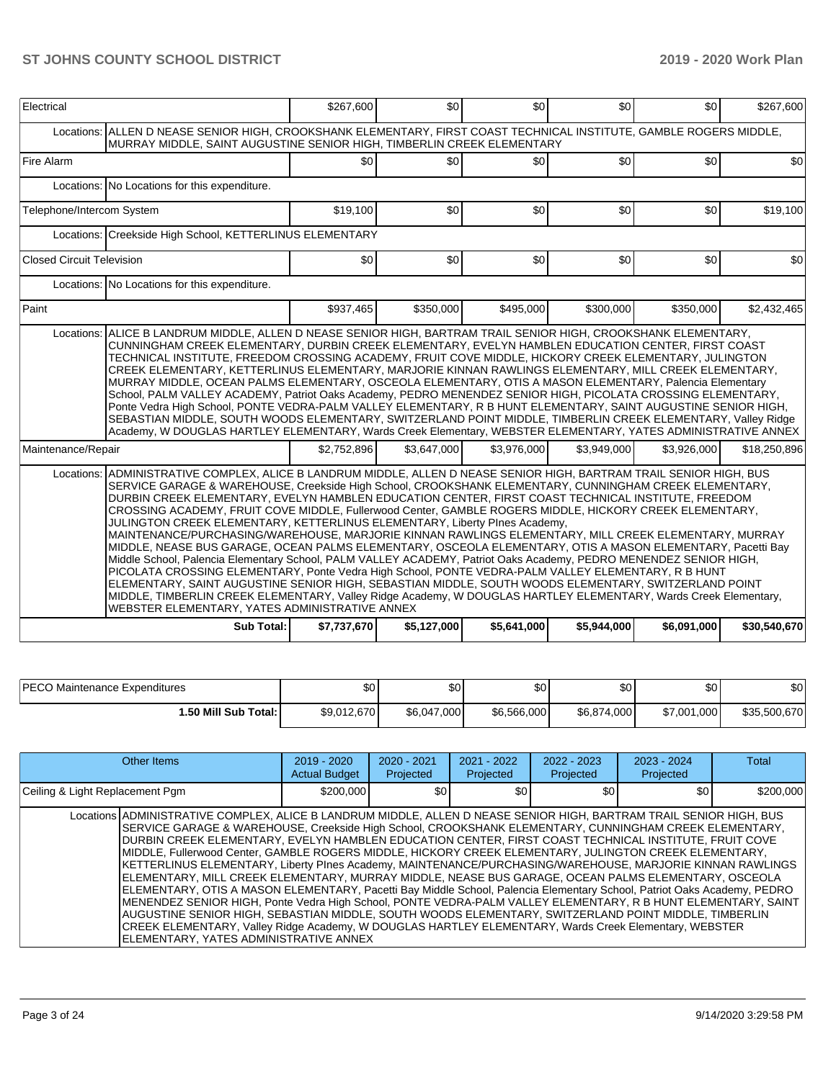| Electrical                |                                                                                                                                                                                                                                                                                                                                                                                                                                                                                                                                                                                                                                                                                                                                                                                                                                                                                                                                                                                                                                                                                                                                                                                                                                                              | \$267,600   | \$0         | \$0              | \$0         | \$0         | \$267,600    |  |  |  |  |
|---------------------------|--------------------------------------------------------------------------------------------------------------------------------------------------------------------------------------------------------------------------------------------------------------------------------------------------------------------------------------------------------------------------------------------------------------------------------------------------------------------------------------------------------------------------------------------------------------------------------------------------------------------------------------------------------------------------------------------------------------------------------------------------------------------------------------------------------------------------------------------------------------------------------------------------------------------------------------------------------------------------------------------------------------------------------------------------------------------------------------------------------------------------------------------------------------------------------------------------------------------------------------------------------------|-------------|-------------|------------------|-------------|-------------|--------------|--|--|--|--|
|                           | Locations: ALLEN D NEASE SENIOR HIGH, CROOKSHANK ELEMENTARY, FIRST COAST TECHNICAL INSTITUTE, GAMBLE ROGERS MIDDLE,<br>MURRAY MIDDLE, SAINT AUGUSTINE SENIOR HIGH, TIMBERLIN CREEK ELEMENTARY                                                                                                                                                                                                                                                                                                                                                                                                                                                                                                                                                                                                                                                                                                                                                                                                                                                                                                                                                                                                                                                                |             |             |                  |             |             |              |  |  |  |  |
| <b>Fire Alarm</b>         |                                                                                                                                                                                                                                                                                                                                                                                                                                                                                                                                                                                                                                                                                                                                                                                                                                                                                                                                                                                                                                                                                                                                                                                                                                                              | \$0         | \$0         | \$0 <sub>1</sub> | \$0         | \$0         | \$0          |  |  |  |  |
|                           | Locations: No Locations for this expenditure.                                                                                                                                                                                                                                                                                                                                                                                                                                                                                                                                                                                                                                                                                                                                                                                                                                                                                                                                                                                                                                                                                                                                                                                                                |             |             |                  |             |             |              |  |  |  |  |
| Telephone/Intercom System |                                                                                                                                                                                                                                                                                                                                                                                                                                                                                                                                                                                                                                                                                                                                                                                                                                                                                                                                                                                                                                                                                                                                                                                                                                                              | \$19,100    | \$0         | \$0              | \$0         | \$0         | \$19,100     |  |  |  |  |
|                           | Locations: Creekside High School, KETTERLINUS ELEMENTARY                                                                                                                                                                                                                                                                                                                                                                                                                                                                                                                                                                                                                                                                                                                                                                                                                                                                                                                                                                                                                                                                                                                                                                                                     |             |             |                  |             |             |              |  |  |  |  |
| Closed Circuit Television |                                                                                                                                                                                                                                                                                                                                                                                                                                                                                                                                                                                                                                                                                                                                                                                                                                                                                                                                                                                                                                                                                                                                                                                                                                                              | \$0         | \$0         | \$0 <sub>1</sub> | \$0         | \$0         | \$0          |  |  |  |  |
|                           | Locations: No Locations for this expenditure.                                                                                                                                                                                                                                                                                                                                                                                                                                                                                                                                                                                                                                                                                                                                                                                                                                                                                                                                                                                                                                                                                                                                                                                                                |             |             |                  |             |             |              |  |  |  |  |
| Paint                     |                                                                                                                                                                                                                                                                                                                                                                                                                                                                                                                                                                                                                                                                                                                                                                                                                                                                                                                                                                                                                                                                                                                                                                                                                                                              | \$937,465   | \$350,000   | \$495,000        | \$300,000   | \$350,000   | \$2,432,465  |  |  |  |  |
|                           | ALICE B LANDRUM MIDDLE, ALLEN D NEASE SENIOR HIGH, BARTRAM TRAIL SENIOR HIGH, CROOKSHANK ELEMENTARY,<br>Locations:<br>CUNNINGHAM CREEK ELEMENTARY, DURBIN CREEK ELEMENTARY, EVELYN HAMBLEN EDUCATION CENTER, FIRST COAST<br>TECHNICAL INSTITUTE, FREEDOM CROSSING ACADEMY, FRUIT COVE MIDDLE, HICKORY CREEK ELEMENTARY, JULINGTON<br>CREEK ELEMENTARY, KETTERLINUS ELEMENTARY, MARJORIE KINNAN RAWLINGS ELEMENTARY, MILL CREEK ELEMENTARY,<br>MURRAY MIDDLE, OCEAN PALMS ELEMENTARY, OSCEOLA ELEMENTARY, OTIS A MASON ELEMENTARY, Palencia Elementary<br>School, PALM VALLEY ACADEMY, Patriot Oaks Academy, PEDRO MENENDEZ SENIOR HIGH, PICOLATA CROSSING ELEMENTARY,<br>Ponte Vedra High School, PONTE VEDRA-PALM VALLEY ELEMENTARY, R B HUNT ELEMENTARY, SAINT AUGUSTINE SENIOR HIGH,<br>SEBASTIAN MIDDLE, SOUTH WOODS ELEMENTARY, SWITZERLAND POINT MIDDLE, TIMBERLIN CREEK ELEMENTARY, Valley Ridge<br>Academy, W DOUGLAS HARTLEY ELEMENTARY, Wards Creek Elementary, WEBSTER ELEMENTARY, YATES ADMINISTRATIVE ANNEX                                                                                                                                                                                                                                     |             |             |                  |             |             |              |  |  |  |  |
| Maintenance/Repair        |                                                                                                                                                                                                                                                                                                                                                                                                                                                                                                                                                                                                                                                                                                                                                                                                                                                                                                                                                                                                                                                                                                                                                                                                                                                              | \$2,752,896 | \$3,647,000 | \$3,976,000      | \$3,949,000 | \$3,926,000 | \$18,250,896 |  |  |  |  |
|                           | Locations: ADMINISTRATIVE COMPLEX, ALICE B LANDRUM MIDDLE, ALLEN D NEASE SENIOR HIGH, BARTRAM TRAIL SENIOR HIGH, BUS<br>SERVICE GARAGE & WAREHOUSE, Creekside High School, CROOKSHANK ELEMENTARY, CUNNINGHAM CREEK ELEMENTARY,<br>DURBIN CREEK ELEMENTARY, EVELYN HAMBLEN EDUCATION CENTER, FIRST COAST TECHNICAL INSTITUTE, FREEDOM<br>CROSSING ACADEMY, FRUIT COVE MIDDLE, Fullerwood Center, GAMBLE ROGERS MIDDLE, HICKORY CREEK ELEMENTARY,<br>JULINGTON CREEK ELEMENTARY, KETTERLINUS ELEMENTARY, Liberty PInes Academy,<br>MAINTENANCE/PURCHASING/WAREHOUSE, MARJORIE KINNAN RAWLINGS ELEMENTARY, MILL CREEK ELEMENTARY, MURRAY<br>MIDDLE, NEASE BUS GARAGE, OCEAN PALMS ELEMENTARY, OSCEOLA ELEMENTARY, OTIS A MASON ELEMENTARY, Pacetti Bay<br>Middle School, Palencia Elementary School, PALM VALLEY ACADEMY, Patriot Oaks Academy, PEDRO MENENDEZ SENIOR HIGH,<br>PICOLATA CROSSING ELEMENTARY, Ponte Vedra High School, PONTE VEDRA-PALM VALLEY ELEMENTARY, R B HUNT<br>ELEMENTARY, SAINT AUGUSTINE SENIOR HIGH, SEBASTIAN MIDDLE, SOUTH WOODS ELEMENTARY, SWITZERLAND POINT<br>MIDDLE, TIMBERLIN CREEK ELEMENTARY, Valley Ridge Academy, W DOUGLAS HARTLEY ELEMENTARY, Wards Creek Elementary,<br>WEBSTER ELEMENTARY, YATES ADMINISTRATIVE ANNEX |             |             |                  |             |             |              |  |  |  |  |
|                           | <b>Sub Total:</b>                                                                                                                                                                                                                                                                                                                                                                                                                                                                                                                                                                                                                                                                                                                                                                                                                                                                                                                                                                                                                                                                                                                                                                                                                                            | \$7,737,670 | \$5,127,000 | \$5,641,000      | \$5,944,000 | \$6,091,000 | \$30,540,670 |  |  |  |  |

| <b>PECO Maintenance Expenditures</b> | \$0         | ሶሳ<br>ΦU    | \$0         | ሶስ<br>υU    | ا 30        | \$0          |
|--------------------------------------|-------------|-------------|-------------|-------------|-------------|--------------|
| 1.50 Mill Sub Total: I               | \$9,012,670 | \$6.047.000 | \$6.566.000 | \$6.874,000 | \$7.001.000 | \$35,500,670 |

| Other Items                                                                                                                                                                                                                                                                                                                                                                                                                                                                                                                                                                                                                                                                                                                                                                                                                                                                                                                                                                                                                                                                                                                                                                 | $2019 - 2020$<br><b>Actual Budget</b> | $2020 - 2021$<br>Projected | $2021 - 2022$<br>Projected | $2022 - 2023$<br>Projected | $2023 - 2024$<br>Projected | Total     |
|-----------------------------------------------------------------------------------------------------------------------------------------------------------------------------------------------------------------------------------------------------------------------------------------------------------------------------------------------------------------------------------------------------------------------------------------------------------------------------------------------------------------------------------------------------------------------------------------------------------------------------------------------------------------------------------------------------------------------------------------------------------------------------------------------------------------------------------------------------------------------------------------------------------------------------------------------------------------------------------------------------------------------------------------------------------------------------------------------------------------------------------------------------------------------------|---------------------------------------|----------------------------|----------------------------|----------------------------|----------------------------|-----------|
| Ceiling & Light Replacement Pgm                                                                                                                                                                                                                                                                                                                                                                                                                                                                                                                                                                                                                                                                                                                                                                                                                                                                                                                                                                                                                                                                                                                                             | \$200,000                             | \$0                        | \$0                        | \$0                        | \$0                        | \$200,000 |
| Locations ADMINISTRATIVE COMPLEX. ALICE B LANDRUM MIDDLE. ALLEN D NEASE SENIOR HIGH. BARTRAM TRAIL SENIOR HIGH. BUS<br>SERVICE GARAGE & WAREHOUSE, Creekside High School, CROOKSHANK ELEMENTARY, CUNNINGHAM CREEK ELEMENTARY,<br>DURBIN CREEK ELEMENTARY. EVELYN HAMBLEN EDUCATION CENTER. FIRST COAST TECHNICAL INSTITUTE. FRUIT COVE<br>MIDDLE, Fullerwood Center, GAMBLE ROGERS MIDDLE, HICKORY CREEK ELEMENTARY, JULINGTON CREEK ELEMENTARY,<br>KETTERLINUS ELEMENTARY, Liberty PInes Academy, MAINTENANCE/PURCHASING/WAREHOUSE, MARJORIE KINNAN RAWLINGS<br>ELEMENTARY, MILL CREEK ELEMENTARY, MURRAY MIDDLE, NEASE BUS GARAGE, OCEAN PALMS ELEMENTARY, OSCEOLA<br>ELEMENTARY, OTIS A MASON ELEMENTARY, Pacetti Bay Middle School, Palencia Elementary School, Patriot Oaks Academy, PEDRO<br>MENENDEZ SENIOR HIGH, Ponte Vedra High School, PONTE VEDRA-PALM VALLEY ELEMENTARY, R B HUNT ELEMENTARY, SAINT<br>AUGUSTINE SENIOR HIGH, SEBASTIAN MIDDLE, SOUTH WOODS ELEMENTARY, SWITZERLAND POINT MIDDLE, TIMBERLIN<br>CREEK ELEMENTARY, Valley Ridge Academy, W DOUGLAS HARTLEY ELEMENTARY, Wards Creek Elementary, WEBSTER<br>ELEMENTARY, YATES ADMINISTRATIVE ANNEX |                                       |                            |                            |                            |                            |           |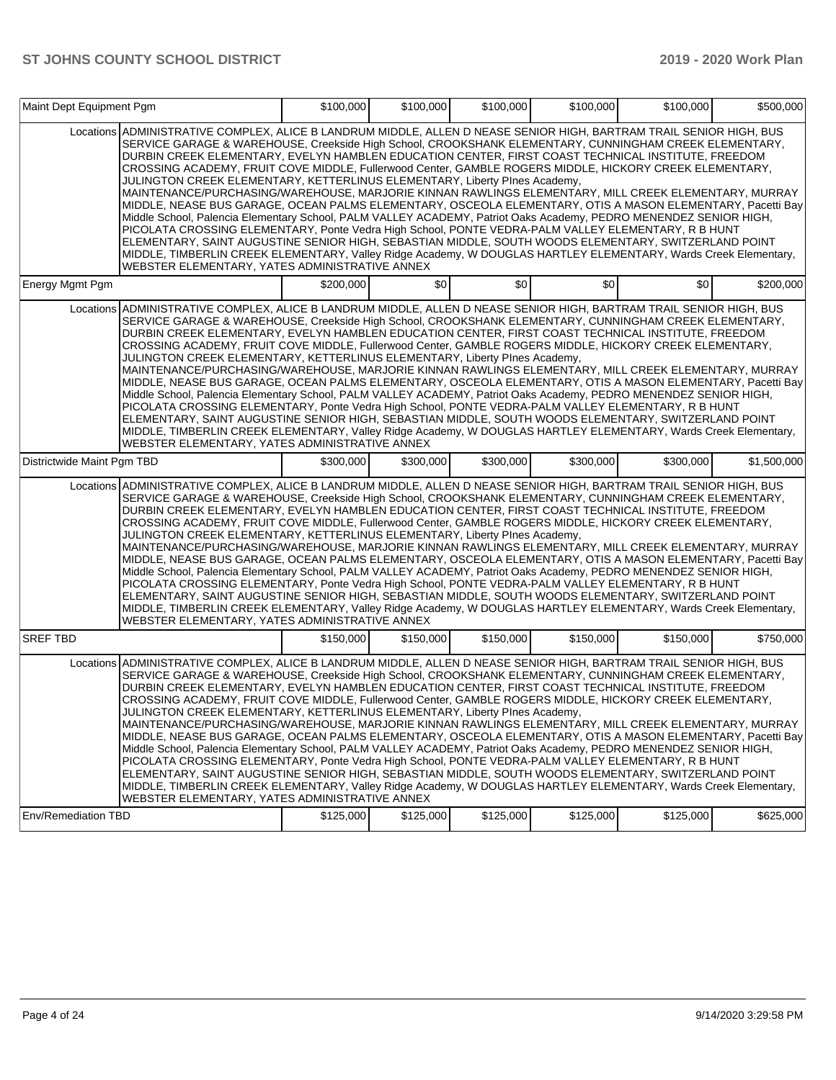| Maint Dept Equipment Pgm   |                                                                                                                                                                                                                                                                                                                                                                                                                                                                                                                                                                                                                                                                                                                                                                                                                                                                                                                                                                                                                                                                                                                                                                                                                                                             | \$100,000 | \$100,000 | \$100,000 | \$100,000 | \$100.000 | \$500,000   |
|----------------------------|-------------------------------------------------------------------------------------------------------------------------------------------------------------------------------------------------------------------------------------------------------------------------------------------------------------------------------------------------------------------------------------------------------------------------------------------------------------------------------------------------------------------------------------------------------------------------------------------------------------------------------------------------------------------------------------------------------------------------------------------------------------------------------------------------------------------------------------------------------------------------------------------------------------------------------------------------------------------------------------------------------------------------------------------------------------------------------------------------------------------------------------------------------------------------------------------------------------------------------------------------------------|-----------|-----------|-----------|-----------|-----------|-------------|
|                            | Locations ADMINISTRATIVE COMPLEX, ALICE B LANDRUM MIDDLE, ALLEN D NEASE SENIOR HIGH, BARTRAM TRAIL SENIOR HIGH, BUS<br>SERVICE GARAGE & WAREHOUSE, Creekside High School, CROOKSHANK ELEMENTARY, CUNNINGHAM CREEK ELEMENTARY,<br>DURBIN CREEK ELEMENTARY, EVELYN HAMBLEN EDUCATION CENTER, FIRST COAST TECHNICAL INSTITUTE, FREEDOM<br>CROSSING ACADEMY, FRUIT COVE MIDDLE, Fullerwood Center, GAMBLE ROGERS MIDDLE, HICKORY CREEK ELEMENTARY,<br>JULINGTON CREEK ELEMENTARY, KETTERLINUS ELEMENTARY, Liberty PInes Academy,<br>MAINTENANCE/PURCHASING/WAREHOUSE, MARJORIE KINNAN RAWLINGS ELEMENTARY, MILL CREEK ELEMENTARY, MURRAY<br>MIDDLE, NEASE BUS GARAGE, OCEAN PALMS ELEMENTARY, OSCEOLA ELEMENTARY, OTIS A MASON ELEMENTARY, Pacetti Bay<br>Middle School, Palencia Elementary School, PALM VALLEY ACADEMY, Patriot Oaks Academy, PEDRO MENENDEZ SENIOR HIGH,<br>PICOLATA CROSSING ELEMENTARY, Ponte Vedra High School, PONTE VEDRA-PALM VALLEY ELEMENTARY, R B HUNT<br>ELEMENTARY, SAINT AUGUSTINE SENIOR HIGH, SEBASTIAN MIDDLE, SOUTH WOODS ELEMENTARY, SWITZERLAND POINT<br>MIDDLE, TIMBERLIN CREEK ELEMENTARY, Valley Ridge Academy, W DOUGLAS HARTLEY ELEMENTARY, Wards Creek Elementary,<br>WEBSTER ELEMENTARY, YATES ADMINISTRATIVE ANNEX |           |           |           |           |           |             |
| Energy Mgmt Pgm            |                                                                                                                                                                                                                                                                                                                                                                                                                                                                                                                                                                                                                                                                                                                                                                                                                                                                                                                                                                                                                                                                                                                                                                                                                                                             | \$200,000 | \$0       | \$0       | \$0       | \$0       | \$200,000   |
|                            | Locations ADMINISTRATIVE COMPLEX, ALICE B LANDRUM MIDDLE, ALLEN D NEASE SENIOR HIGH, BARTRAM TRAIL SENIOR HIGH, BUS<br>SERVICE GARAGE & WAREHOUSE, Creekside High School, CROOKSHANK ELEMENTARY, CUNNINGHAM CREEK ELEMENTARY,<br>DURBIN CREEK ELEMENTARY, EVELYN HAMBLEN EDUCATION CENTER, FIRST COAST TECHNICAL INSTITUTE, FREEDOM<br>CROSSING ACADEMY, FRUIT COVE MIDDLE, Fullerwood Center, GAMBLE ROGERS MIDDLE, HICKORY CREEK ELEMENTARY,<br>JULINGTON CREEK ELEMENTARY, KETTERLINUS ELEMENTARY, Liberty PInes Academy,<br>MAINTENANCE/PURCHASING/WAREHOUSE, MARJORIE KINNAN RAWLINGS ELEMENTARY, MILL CREEK ELEMENTARY, MURRAY<br>MIDDLE, NEASE BUS GARAGE, OCEAN PALMS ELEMENTARY, OSCEOLA ELEMENTARY, OTIS A MASON ELEMENTARY, Pacetti Bay<br>Middle School, Palencia Elementary School, PALM VALLEY ACADEMY, Patriot Oaks Academy, PEDRO MENENDEZ SENIOR HIGH,<br>PICOLATA CROSSING ELEMENTARY, Ponte Vedra High School, PONTE VEDRA-PALM VALLEY ELEMENTARY, R B HUNT<br>ELEMENTARY, SAINT AUGUSTINE SENIOR HIGH, SEBASTIAN MIDDLE, SOUTH WOODS ELEMENTARY, SWITZERLAND POINT<br>MIDDLE, TIMBERLIN CREEK ELEMENTARY, Valley Ridge Academy, W DOUGLAS HARTLEY ELEMENTARY, Wards Creek Elementary,<br>WEBSTER ELEMENTARY, YATES ADMINISTRATIVE ANNEX |           |           |           |           |           |             |
| Districtwide Maint Pgm TBD |                                                                                                                                                                                                                                                                                                                                                                                                                                                                                                                                                                                                                                                                                                                                                                                                                                                                                                                                                                                                                                                                                                                                                                                                                                                             | \$300,000 | \$300,000 | \$300,000 | \$300,000 | \$300,000 | \$1,500,000 |
|                            | Locations ADMINISTRATIVE COMPLEX, ALICE B LANDRUM MIDDLE, ALLEN D NEASE SENIOR HIGH, BARTRAM TRAIL SENIOR HIGH, BUS<br>SERVICE GARAGE & WAREHOUSE, Creekside High School, CROOKSHANK ELEMENTARY, CUNNINGHAM CREEK ELEMENTARY,<br>DURBIN CREEK ELEMENTARY, EVELYN HAMBLEN EDUCATION CENTER, FIRST COAST TECHNICAL INSTITUTE, FREEDOM<br>CROSSING ACADEMY, FRUIT COVE MIDDLE, Fullerwood Center, GAMBLE ROGERS MIDDLE, HICKORY CREEK ELEMENTARY,<br>JULINGTON CREEK ELEMENTARY, KETTERLINUS ELEMENTARY, Liberty PInes Academy,<br>MAINTENANCE/PURCHASING/WAREHOUSE, MARJORIE KINNAN RAWLINGS ELEMENTARY, MILL CREEK ELEMENTARY, MURRAY<br>MIDDLE, NEASE BUS GARAGE, OCEAN PALMS ELEMENTARY, OSCEOLA ELEMENTARY, OTIS A MASON ELEMENTARY, Pacetti Bay<br>Middle School, Palencia Elementary School, PALM VALLEY ACADEMY, Patriot Oaks Academy, PEDRO MENENDEZ SENIOR HIGH,<br>PICOLATA CROSSING ELEMENTARY, Ponte Vedra High School, PONTE VEDRA-PALM VALLEY ELEMENTARY, R B HUNT<br>ELEMENTARY, SAINT AUGUSTINE SENIOR HIGH, SEBASTIAN MIDDLE, SOUTH WOODS ELEMENTARY, SWITZERLAND POINT<br>MIDDLE, TIMBERLIN CREEK ELEMENTARY, Valley Ridge Academy, W DOUGLAS HARTLEY ELEMENTARY, Wards Creek Elementary,<br>WEBSTER ELEMENTARY, YATES ADMINISTRATIVE ANNEX |           |           |           |           |           |             |
| <b>SREF TBD</b>            |                                                                                                                                                                                                                                                                                                                                                                                                                                                                                                                                                                                                                                                                                                                                                                                                                                                                                                                                                                                                                                                                                                                                                                                                                                                             | \$150,000 | \$150,000 | \$150,000 | \$150,000 | \$150,000 | \$750,000   |
|                            | Locations ADMINISTRATIVE COMPLEX, ALICE B LANDRUM MIDDLE, ALLEN D NEASE SENIOR HIGH, BARTRAM TRAIL SENIOR HIGH, BUS<br>SERVICE GARAGE & WAREHOUSE, Creekside High School, CROOKSHANK ELEMENTARY, CUNNINGHAM CREEK ELEMENTARY,<br>DURBIN CREEK ELEMENTARY, EVELYN HAMBLEN EDUCATION CENTER, FIRST COAST TECHNICAL INSTITUTE, FREEDOM<br>CROSSING ACADEMY, FRUIT COVE MIDDLE, Fullerwood Center, GAMBLE ROGERS MIDDLE, HICKORY CREEK ELEMENTARY,<br>JULINGTON CREEK ELEMENTARY, KETTERLINUS ELEMENTARY, Liberty PInes Academy,<br>MAINTENANCE/PURCHASING/WAREHOUSE, MARJORIE KINNAN RAWLINGS ELEMENTARY, MILL CREEK ELEMENTARY, MURRAY<br>MIDDLE, NEASE BUS GARAGE, OCEAN PALMS ELEMENTARY, OSCEOLA ELEMENTARY, OTIS A MASON ELEMENTARY, Pacetti Bay<br>Middle School, Palencia Elementary School, PALM VALLEY ACADEMY, Patriot Oaks Academy, PEDRO MENENDEZ SENIOR HIGH,<br>PICOLATA CROSSING ELEMENTARY, Ponte Vedra High School, PONTE VEDRA-PALM VALLEY ELEMENTARY, R B HUNT<br>ELEMENTARY, SAINT AUGUSTINE SENIOR HIGH, SEBASTIAN MIDDLE, SOUTH WOODS ELEMENTARY, SWITZERLAND POINT<br>MIDDLE, TIMBERLIN CREEK ELEMENTARY, Valley Ridge Academy, W DOUGLAS HARTLEY ELEMENTARY, Wards Creek Elementary,<br>WEBSTER ELEMENTARY, YATES ADMINISTRATIVE ANNEX |           |           |           |           |           |             |
| <b>Env/Remediation TBD</b> |                                                                                                                                                                                                                                                                                                                                                                                                                                                                                                                                                                                                                                                                                                                                                                                                                                                                                                                                                                                                                                                                                                                                                                                                                                                             | \$125,000 | \$125,000 | \$125,000 | \$125,000 | \$125,000 | \$625,000   |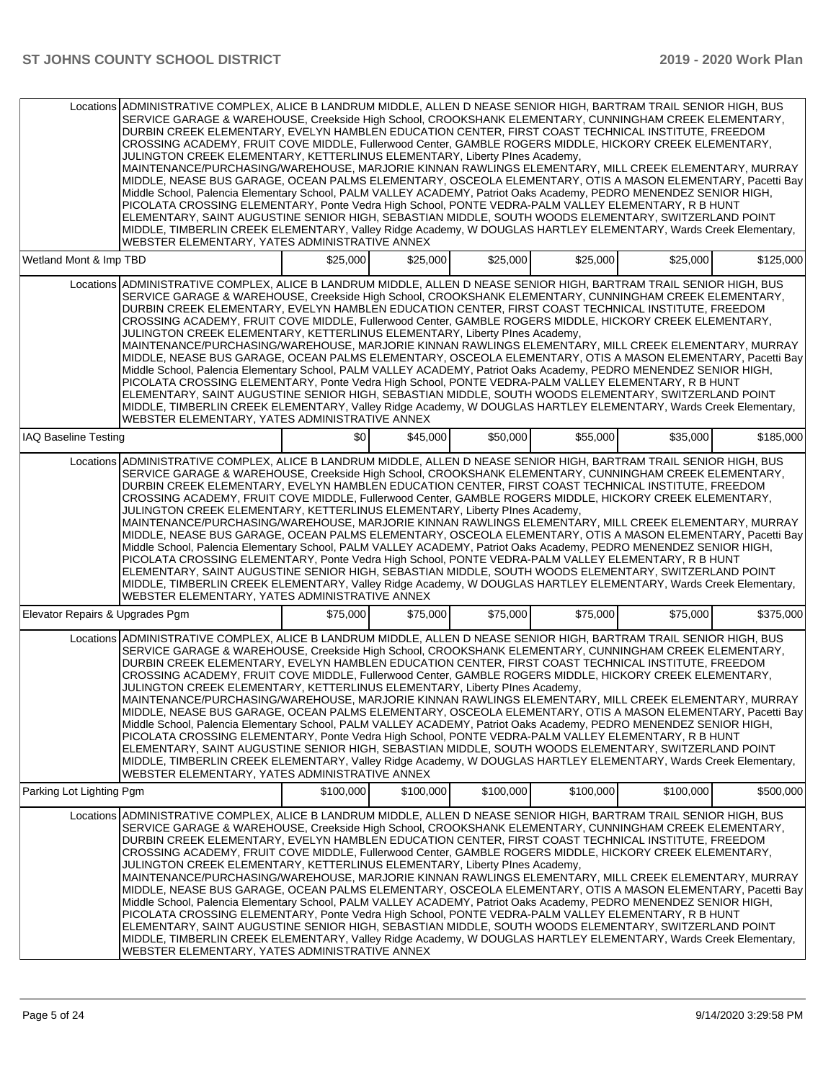|                                 | Locations ADMINISTRATIVE COMPLEX. ALICE B LANDRUM MIDDLE. ALLEN D NEASE SENIOR HIGH. BARTRAM TRAIL SENIOR HIGH. BUS<br>SERVICE GARAGE & WAREHOUSE, Creekside High School, CROOKSHANK ELEMENTARY, CUNNINGHAM CREEK ELEMENTARY,<br>DURBIN CREEK ELEMENTARY, EVELYN HAMBLEN EDUCATION CENTER, FIRST COAST TECHNICAL INSTITUTE, FREEDOM<br>CROSSING ACADEMY, FRUIT COVE MIDDLE, Fullerwood Center, GAMBLE ROGERS MIDDLE, HICKORY CREEK ELEMENTARY,<br>JULINGTON CREEK ELEMENTARY, KETTERLINUS ELEMENTARY, Liberty Plnes Academy,<br>MAINTENANCE/PURCHASING/WAREHOUSE, MARJORIE KINNAN RAWLINGS ELEMENTARY, MILL CREEK ELEMENTARY, MURRAY<br>MIDDLE, NEASE BUS GARAGE, OCEAN PALMS ELEMENTARY, OSCEOLA ELEMENTARY, OTIS A MASON ELEMENTARY, Pacetti Bay<br>Middle School, Palencia Elementary School, PALM VALLEY ACADEMY, Patriot Oaks Academy, PEDRO MENENDEZ SENIOR HIGH,<br>PICOLATA CROSSING ELEMENTARY, Ponte Vedra High School, PONTE VEDRA-PALM VALLEY ELEMENTARY, R B HUNT<br>ELEMENTARY, SAINT AUGUSTINE SENIOR HIGH, SEBASTIAN MIDDLE, SOUTH WOODS ELEMENTARY, SWITZERLAND POINT<br>MIDDLE, TIMBERLIN CREEK ELEMENTARY, Valley Ridge Academy, W DOUGLAS HARTLEY ELEMENTARY, Wards Creek Elementary,<br>WEBSTER ELEMENTARY, YATES ADMINISTRATIVE ANNEX |           |           |           |           |           |           |
|---------------------------------|-------------------------------------------------------------------------------------------------------------------------------------------------------------------------------------------------------------------------------------------------------------------------------------------------------------------------------------------------------------------------------------------------------------------------------------------------------------------------------------------------------------------------------------------------------------------------------------------------------------------------------------------------------------------------------------------------------------------------------------------------------------------------------------------------------------------------------------------------------------------------------------------------------------------------------------------------------------------------------------------------------------------------------------------------------------------------------------------------------------------------------------------------------------------------------------------------------------------------------------------------------------|-----------|-----------|-----------|-----------|-----------|-----------|
| Wetland Mont & Imp TBD          |                                                                                                                                                                                                                                                                                                                                                                                                                                                                                                                                                                                                                                                                                                                                                                                                                                                                                                                                                                                                                                                                                                                                                                                                                                                             | \$25,000  | \$25,000  | \$25,000  | \$25,000  | \$25,000  | \$125,000 |
|                                 | Locations ADMINISTRATIVE COMPLEX, ALICE B LANDRUM MIDDLE, ALLEN D NEASE SENIOR HIGH, BARTRAM TRAIL SENIOR HIGH, BUS<br>SERVICE GARAGE & WAREHOUSE, Creekside High School, CROOKSHANK ELEMENTARY, CUNNINGHAM CREEK ELEMENTARY,<br>DURBIN CREEK ELEMENTARY, EVELYN HAMBLEN EDUCATION CENTER, FIRST COAST TECHNICAL INSTITUTE, FREEDOM<br>CROSSING ACADEMY, FRUIT COVE MIDDLE, Fullerwood Center, GAMBLE ROGERS MIDDLE, HICKORY CREEK ELEMENTARY,<br>JULINGTON CREEK ELEMENTARY, KETTERLINUS ELEMENTARY, Liberty PInes Academy,<br>MAINTENANCE/PURCHASING/WAREHOUSE, MARJORIE KINNAN RAWLINGS ELEMENTARY, MILL CREEK ELEMENTARY, MURRAY<br>MIDDLE, NEASE BUS GARAGE, OCEAN PALMS ELEMENTARY, OSCEOLA ELEMENTARY, OTIS A MASON ELEMENTARY, Pacetti Bay<br>Middle School, Palencia Elementary School, PALM VALLEY ACADEMY, Patriot Oaks Academy, PEDRO MENENDEZ SENIOR HIGH,<br>PICOLATA CROSSING ELEMENTARY, Ponte Vedra High School, PONTE VEDRA-PALM VALLEY ELEMENTARY, R B HUNT<br>ELEMENTARY, SAINT AUGUSTINE SENIOR HIGH, SEBASTIAN MIDDLE, SOUTH WOODS ELEMENTARY, SWITZERLAND POINT<br>MIDDLE, TIMBERLIN CREEK ELEMENTARY, Valley Ridge Academy, W DOUGLAS HARTLEY ELEMENTARY, Wards Creek Elementary,<br>WEBSTER ELEMENTARY, YATES ADMINISTRATIVE ANNEX |           |           |           |           |           |           |
| <b>IAQ Baseline Testing</b>     |                                                                                                                                                                                                                                                                                                                                                                                                                                                                                                                                                                                                                                                                                                                                                                                                                                                                                                                                                                                                                                                                                                                                                                                                                                                             | \$0       | \$45,000  | \$50,000  | \$55,000  | \$35,000  | \$185,000 |
|                                 | Locations ADMINISTRATIVE COMPLEX, ALICE B LANDRUM MIDDLE, ALLEN D NEASE SENIOR HIGH, BARTRAM TRAIL SENIOR HIGH, BUS<br>SERVICE GARAGE & WAREHOUSE, Creekside High School, CROOKSHANK ELEMENTARY, CUNNINGHAM CREEK ELEMENTARY,<br>DURBIN CREEK ELEMENTARY, EVELYN HAMBLEN EDUCATION CENTER, FIRST COAST TECHNICAL INSTITUTE, FREEDOM<br>CROSSING ACADEMY, FRUIT COVE MIDDLE, Fullerwood Center, GAMBLE ROGERS MIDDLE, HICKORY CREEK ELEMENTARY,<br>JULINGTON CREEK ELEMENTARY, KETTERLINUS ELEMENTARY, Liberty PInes Academy,<br>MAINTENANCE/PURCHASING/WAREHOUSE, MARJORIE KINNAN RAWLINGS ELEMENTARY, MILL CREEK ELEMENTARY, MURRAY<br>MIDDLE, NEASE BUS GARAGE, OCEAN PALMS ELEMENTARY, OSCEOLA ELEMENTARY, OTIS A MASON ELEMENTARY, Pacetti Bay<br>Middle School, Palencia Elementary School, PALM VALLEY ACADEMY, Patriot Oaks Academy, PEDRO MENENDEZ SENIOR HIGH,<br>PICOLATA CROSSING ELEMENTARY, Ponte Vedra High School, PONTE VEDRA-PALM VALLEY ELEMENTARY, R B HUNT<br>ELEMENTARY, SAINT AUGUSTINE SENIOR HIGH, SEBASTIAN MIDDLE, SOUTH WOODS ELEMENTARY, SWITZERLAND POINT<br>MIDDLE, TIMBERLIN CREEK ELEMENTARY, Valley Ridge Academy, W DOUGLAS HARTLEY ELEMENTARY, Wards Creek Elementary,<br>WEBSTER ELEMENTARY, YATES ADMINISTRATIVE ANNEX |           |           |           |           |           |           |
| Elevator Repairs & Upgrades Pgm |                                                                                                                                                                                                                                                                                                                                                                                                                                                                                                                                                                                                                                                                                                                                                                                                                                                                                                                                                                                                                                                                                                                                                                                                                                                             | \$75,000  | \$75,000  | \$75,000  | \$75,000  | \$75,000  | \$375,000 |
|                                 | Locations ADMINISTRATIVE COMPLEX, ALICE B LANDRUM MIDDLE, ALLEN D NEASE SENIOR HIGH, BARTRAM TRAIL SENIOR HIGH, BUS<br>SERVICE GARAGE & WAREHOUSE, Creekside High School, CROOKSHANK ELEMENTARY, CUNNINGHAM CREEK ELEMENTARY,<br>DURBIN CREEK ELEMENTARY, EVELYN HAMBLEN EDUCATION CENTER, FIRST COAST TECHNICAL INSTITUTE, FREEDOM<br>CROSSING ACADEMY, FRUIT COVE MIDDLE, Fullerwood Center, GAMBLE ROGERS MIDDLE, HICKORY CREEK ELEMENTARY,<br>JULINGTON CREEK ELEMENTARY, KETTERLINUS ELEMENTARY, Liberty PInes Academy,<br>MAINTENANCE/PURCHASING/WAREHOUSE, MARJORIE KINNAN RAWLINGS ELEMENTARY, MILL CREEK ELEMENTARY, MURRAY<br>MIDDLE, NEASE BUS GARAGE, OCEAN PALMS ELEMENTARY, OSCEOLA ELEMENTARY, OTIS A MASON ELEMENTARY, Pacetti Bay<br>Middle School, Palencia Elementary School, PALM VALLEY ACADEMY, Patriot Oaks Academy, PEDRO MENENDEZ SENIOR HIGH,<br>PICOLATA CROSSING ELEMENTARY. Ponte Vedra High School. PONTE VEDRA-PALM VALLEY ELEMENTARY. R B HUNT<br>ELEMENTARY, SAINT AUGUSTINE SENIOR HIGH, SEBASTIAN MIDDLE, SOUTH WOODS ELEMENTARY, SWITZERLAND POINT<br>MIDDLE, TIMBERLIN CREEK ELEMENTARY, Valley Ridge Academy, W DOUGLAS HARTLEY ELEMENTARY, Wards Creek Elementary,<br>WEBSTER ELEMENTARY, YATES ADMINISTRATIVE ANNEX |           |           |           |           |           |           |
| Parking Lot Lighting Pgm        |                                                                                                                                                                                                                                                                                                                                                                                                                                                                                                                                                                                                                                                                                                                                                                                                                                                                                                                                                                                                                                                                                                                                                                                                                                                             | \$100,000 | \$100,000 | \$100,000 | \$100,000 | \$100,000 | \$500,000 |
|                                 | Locations ADMINISTRATIVE COMPLEX, ALICE B LANDRUM MIDDLE, ALLEN D NEASE SENIOR HIGH, BARTRAM TRAIL SENIOR HIGH, BUS<br>SERVICE GARAGE & WAREHOUSE, Creekside High School, CROOKSHANK ELEMENTARY, CUNNINGHAM CREEK ELEMENTARY,<br>DURBIN CREEK ELEMENTARY, EVELYN HAMBLEN EDUCATION CENTER, FIRST COAST TECHNICAL INSTITUTE, FREEDOM<br>CROSSING ACADEMY, FRUIT COVE MIDDLE, Fullerwood Center, GAMBLE ROGERS MIDDLE, HICKORY CREEK ELEMENTARY,<br>JULINGTON CREEK ELEMENTARY, KETTERLINUS ELEMENTARY, Liberty PInes Academy,<br>MAINTENANCE/PURCHASING/WAREHOUSE, MARJORIE KINNAN RAWLINGS ELEMENTARY, MILL CREEK ELEMENTARY, MURRAY<br>MIDDLE, NEASE BUS GARAGE, OCEAN PALMS ELEMENTARY, OSCEOLA ELEMENTARY, OTIS A MASON ELEMENTARY, Pacetti Bay<br>Middle School, Palencia Elementary School, PALM VALLEY ACADEMY, Patriot Oaks Academy, PEDRO MENENDEZ SENIOR HIGH,<br>PICOLATA CROSSING ELEMENTARY, Ponte Vedra High School, PONTE VEDRA-PALM VALLEY ELEMENTARY, R B HUNT<br>ELEMENTARY, SAINT AUGUSTINE SENIOR HIGH, SEBASTIAN MIDDLE, SOUTH WOODS ELEMENTARY, SWITZERLAND POINT<br>MIDDLE, TIMBERLIN CREEK ELEMENTARY, Valley Ridge Academy, W DOUGLAS HARTLEY ELEMENTARY, Wards Creek Elementary,<br>WEBSTER ELEMENTARY, YATES ADMINISTRATIVE ANNEX |           |           |           |           |           |           |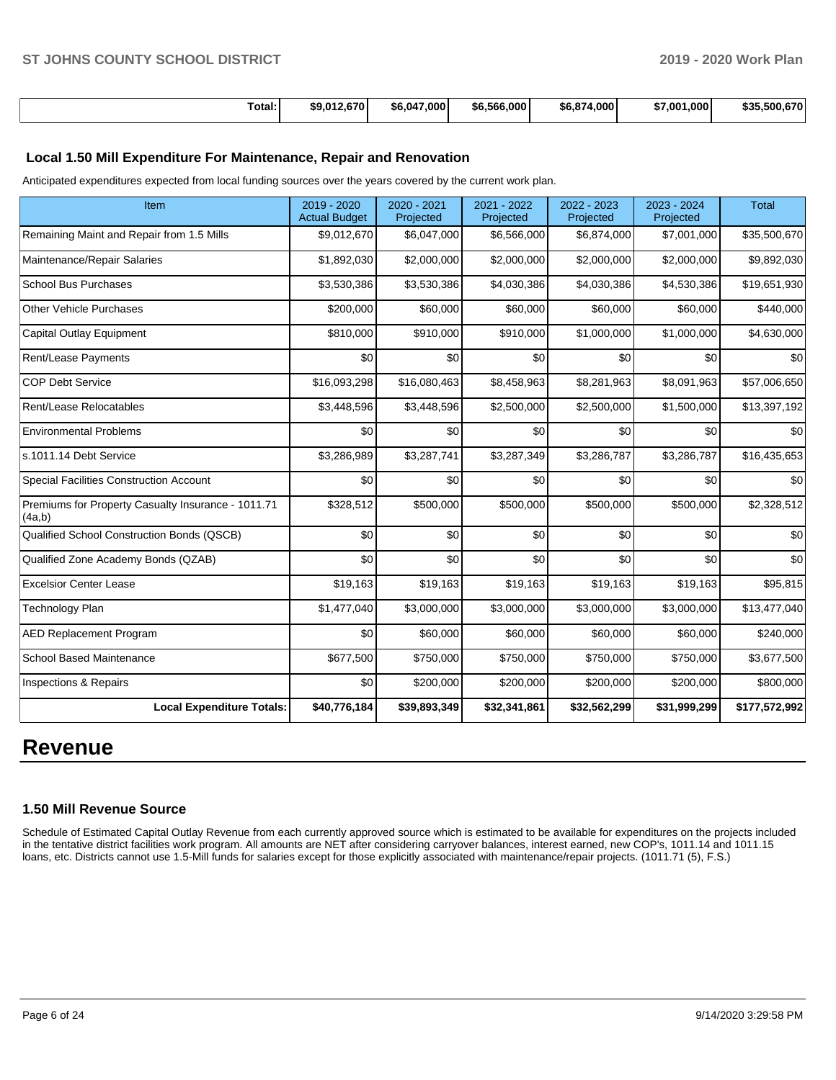| Total: | \$9.012.670 | \$6.047.000 | \$6,566,000 | \$6,874,000 | \$7,001,000 | \$35.500.670 |
|--------|-------------|-------------|-------------|-------------|-------------|--------------|

## **Local 1.50 Mill Expenditure For Maintenance, Repair and Renovation**

Anticipated expenditures expected from local funding sources over the years covered by the current work plan.

| Item                                                         | 2019 - 2020<br><b>Actual Budget</b> | 2020 - 2021<br>Projected | 2021 - 2022<br>Projected | 2022 - 2023<br>Projected | 2023 - 2024<br>Projected | <b>Total</b>  |
|--------------------------------------------------------------|-------------------------------------|--------------------------|--------------------------|--------------------------|--------------------------|---------------|
| Remaining Maint and Repair from 1.5 Mills                    | \$9,012,670                         | \$6,047,000              | \$6,566,000              | \$6,874,000              | \$7,001,000              | \$35,500,670  |
| Maintenance/Repair Salaries                                  | \$1,892,030                         | \$2,000,000              | \$2,000,000              | \$2,000,000              | \$2,000,000              | \$9,892,030   |
| <b>School Bus Purchases</b>                                  | \$3,530,386                         | \$3,530,386              | \$4,030,386              | \$4,030,386              | \$4,530,386              | \$19,651,930  |
| <b>Other Vehicle Purchases</b>                               | \$200,000                           | \$60,000                 | \$60,000                 | \$60,000                 | \$60,000                 | \$440,000     |
| <b>Capital Outlay Equipment</b>                              | \$810,000                           | \$910,000                | \$910,000                | \$1,000,000              | \$1,000,000              | \$4,630,000   |
| Rent/Lease Payments                                          | \$0                                 | \$0                      | \$0                      | \$0                      | \$0                      | \$0           |
| <b>COP Debt Service</b>                                      | \$16,093,298                        | \$16,080,463             | \$8,458,963              | \$8,281,963              | \$8,091,963              | \$57,006,650  |
| Rent/Lease Relocatables                                      | \$3,448,596                         | \$3,448,596              | \$2,500,000              | \$2,500,000              | \$1,500,000              | \$13,397,192  |
| <b>Environmental Problems</b>                                | \$0                                 | \$0                      | \$0                      | \$0                      | \$0                      | \$0           |
| s.1011.14 Debt Service                                       | \$3,286,989                         | \$3,287,741              | \$3,287,349              | \$3,286,787              | \$3,286,787              | \$16,435,653  |
| <b>Special Facilities Construction Account</b>               | \$0                                 | \$0                      | \$0                      | \$0                      | \$0                      | \$0           |
| Premiums for Property Casualty Insurance - 1011.71<br>(4a,b) | \$328,512                           | \$500,000                | \$500,000                | \$500,000                | \$500,000                | \$2,328,512   |
| Qualified School Construction Bonds (QSCB)                   | \$0                                 | \$0                      | \$0                      | \$0                      | \$0                      | \$0           |
| Qualified Zone Academy Bonds (QZAB)                          | \$0                                 | \$0                      | \$0                      | \$0                      | \$0                      | \$0           |
| <b>Excelsior Center Lease</b>                                | \$19,163                            | \$19,163                 | \$19,163                 | \$19,163                 | \$19,163                 | \$95,815      |
| Technology Plan                                              | \$1,477,040                         | \$3,000,000              | \$3,000,000              | \$3,000,000              | \$3,000,000              | \$13,477,040  |
| <b>AED Replacement Program</b>                               | \$0                                 | \$60,000                 | \$60,000                 | \$60,000                 | \$60,000                 | \$240,000     |
| <b>School Based Maintenance</b>                              | \$677,500                           | \$750,000                | \$750,000                | \$750,000                | \$750,000                | \$3,677,500   |
| <b>Inspections &amp; Repairs</b>                             | \$0                                 | \$200,000                | \$200,000                | \$200,000                | \$200,000                | \$800,000     |
| <b>Local Expenditure Totals:</b>                             | \$40,776,184                        | \$39,893,349             | \$32,341,861             | \$32,562,299             | \$31,999,299             | \$177,572,992 |

# **Revenue**

### **1.50 Mill Revenue Source**

Schedule of Estimated Capital Outlay Revenue from each currently approved source which is estimated to be available for expenditures on the projects included in the tentative district facilities work program. All amounts are NET after considering carryover balances, interest earned, new COP's, 1011.14 and 1011.15 loans, etc. Districts cannot use 1.5-Mill funds for salaries except for those explicitly associated with maintenance/repair projects. (1011.71 (5), F.S.)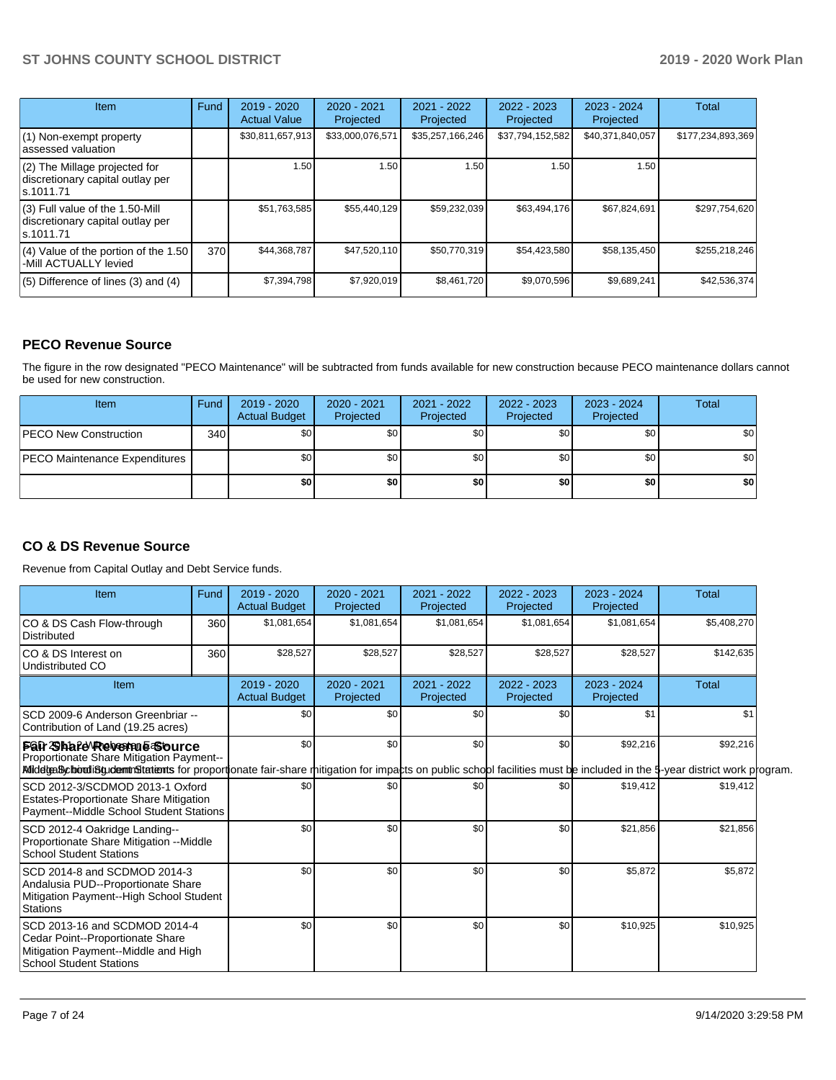| <b>Item</b>                                                                         | Fund | $2019 - 2020$<br><b>Actual Value</b> | $2020 - 2021$<br>Projected | $2021 - 2022$<br>Projected | $2022 - 2023$<br>Projected | $2023 - 2024$<br>Projected | Total             |
|-------------------------------------------------------------------------------------|------|--------------------------------------|----------------------------|----------------------------|----------------------------|----------------------------|-------------------|
| (1) Non-exempt property<br>lassessed valuation                                      |      | \$30,811,657,913                     | \$33,000,076,571           | \$35,257,166,246           | \$37,794,152,582           | \$40,371,840,057           | \$177,234,893,369 |
| (2) The Millage projected for<br>discretionary capital outlay per<br>ls.1011.71     |      | 1.50                                 | 1.50                       | 1.50 <sub>1</sub>          | 1.50                       | 1.50                       |                   |
| $(3)$ Full value of the 1.50-Mill<br>discretionary capital outlay per<br>ls.1011.71 |      | \$51,763,585                         | \$55,440,129               | \$59,232,039               | \$63,494,176               | \$67,824,691               | \$297,754,620     |
| (4) Value of the portion of the 1.50<br>-Mill ACTUALLY levied                       | 370  | \$44,368,787                         | \$47,520,110               | \$50,770,319               | \$54,423,580               | \$58,135,450               | \$255,218,246     |
| $(5)$ Difference of lines $(3)$ and $(4)$                                           |      | \$7,394,798                          | \$7,920,019                | \$8,461,720                | \$9,070,596                | \$9,689,241                | \$42,536,374      |

## **PECO Revenue Source**

The figure in the row designated "PECO Maintenance" will be subtracted from funds available for new construction because PECO maintenance dollars cannot be used for new construction.

| Item                                 | Fund | 2019 - 2020<br><b>Actual Budget</b> | 2020 - 2021<br>Projected | 2021 - 2022<br>Projected | $2022 - 2023$<br>Projected | 2023 - 2024<br>Projected | Total            |
|--------------------------------------|------|-------------------------------------|--------------------------|--------------------------|----------------------------|--------------------------|------------------|
| <b>IPECO New Construction</b>        | 340  | \$0                                 | \$0                      | \$0                      | \$0 <sub>1</sub>           | \$0                      | \$0 <sub>1</sub> |
| <b>PECO Maintenance Expenditures</b> |      | ا 30                                | \$0                      | \$0                      | \$0 <sub>1</sub>           | \$0                      | \$0 <sub>1</sub> |
|                                      |      | \$0                                 | \$0                      | \$0                      | \$0                        | \$0                      | \$0              |

## **CO & DS Revenue Source**

Revenue from Capital Outlay and Debt Service funds.

| Item                                                                                                                                                                                                                                           | Fund | 2019 - 2020<br><b>Actual Budget</b> | $2020 - 2021$<br>Projected | 2021 - 2022<br>Projected | 2022 - 2023<br>Projected | $2023 - 2024$<br>Projected | Total        |  |
|------------------------------------------------------------------------------------------------------------------------------------------------------------------------------------------------------------------------------------------------|------|-------------------------------------|----------------------------|--------------------------|--------------------------|----------------------------|--------------|--|
| CO & DS Cash Flow-through<br><b>Distributed</b>                                                                                                                                                                                                | 360  | \$1,081,654                         | \$1,081,654                | \$1,081,654              | \$1,081,654              | \$1,081,654                | \$5,408,270  |  |
| ICO & DS Interest on<br>Undistributed CO                                                                                                                                                                                                       | 360  | \$28,527                            | \$28,527                   | \$28,527                 | \$28,527                 | \$28,527                   | \$142,635    |  |
| Item                                                                                                                                                                                                                                           |      | 2019 - 2020<br><b>Actual Budget</b> | 2020 - 2021<br>Projected   | 2021 - 2022<br>Projected | 2022 - 2023<br>Projected | 2023 - 2024<br>Projected   | <b>Total</b> |  |
| SCD 2009-6 Anderson Greenbriar --<br>Contribution of Land (19.25 acres)                                                                                                                                                                        |      | \$0                                 | \$0                        | \$0                      | \$0                      | \$1                        | \$1          |  |
| Fah Shafe Revenue Source<br>Proportionate Share Mitigation Payment--<br>MidelgaBcborodiBgudemtr&tatients for proportionate fair-share mitigation for impacts on public school facilities must be included in the 5-year district work program. |      | \$0                                 | \$0                        | \$0                      | \$0                      | \$92,216                   | \$92,216     |  |
| SCD 2012-3/SCDMOD 2013-1 Oxford<br><b>Estates-Proportionate Share Mitigation</b><br>Payment--Middle School Student Stations                                                                                                                    |      | \$0                                 | \$0                        | \$0                      | \$0                      | \$19,412                   | \$19,412     |  |
| SCD 2012-4 Oakridge Landing--<br>Proportionate Share Mitigation -- Middle<br><b>School Student Stations</b>                                                                                                                                    |      |                                     | \$0                        | \$0                      | \$0                      | \$21,856                   | \$21,856     |  |
| SCD 2014-8 and SCDMOD 2014-3<br>Andalusia PUD--Proportionate Share<br>Mitigation Payment--High School Student<br><b>Stations</b>                                                                                                               |      | \$0<br>\$0                          |                            | \$0                      | \$0                      | \$5,872                    | \$5,872      |  |
| SCD 2013-16 and SCDMOD 2014-4<br>Cedar Point--Proportionate Share<br>Mitigation Payment--Middle and High<br><b>School Student Stations</b>                                                                                                     |      | \$0                                 | \$0                        | \$0                      | \$0                      | \$10,925                   | \$10,925     |  |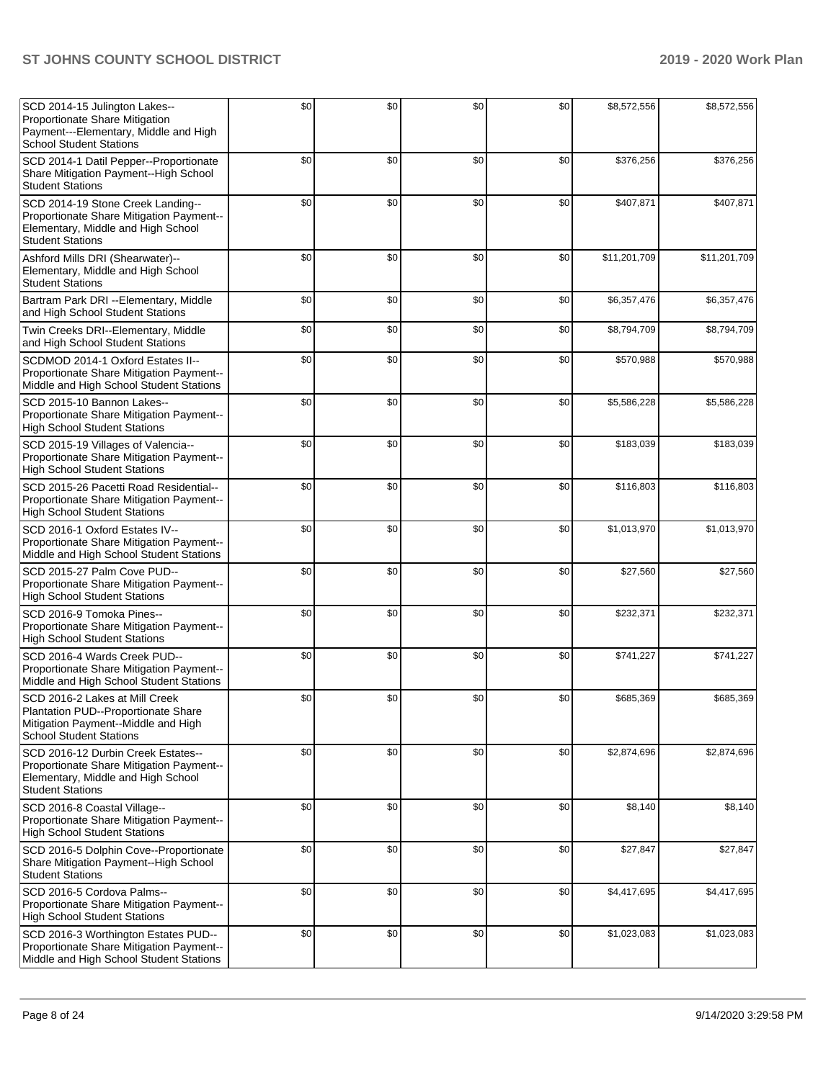| SCD 2014-15 Julington Lakes--<br>Proportionate Share Mitigation<br>Payment---Elementary, Middle and High<br><b>School Student Stations</b>      | \$0 | \$0 | \$0 | \$0 | \$8,572,556  | \$8,572,556  |
|-------------------------------------------------------------------------------------------------------------------------------------------------|-----|-----|-----|-----|--------------|--------------|
| SCD 2014-1 Datil Pepper--Proportionate<br>Share Mitigation Payment--High School<br><b>Student Stations</b>                                      | \$0 | \$0 | \$0 | \$0 | \$376,256    | \$376,256    |
| SCD 2014-19 Stone Creek Landing--<br>Proportionate Share Mitigation Payment--<br>Elementary, Middle and High School<br><b>Student Stations</b>  | \$0 | \$0 | \$0 | \$0 | \$407,871    | \$407,871    |
| Ashford Mills DRI (Shearwater)--<br>Elementary, Middle and High School<br><b>Student Stations</b>                                               | \$0 | \$0 | \$0 | \$0 | \$11,201,709 | \$11,201,709 |
| Bartram Park DRI --Elementary, Middle<br>and High School Student Stations                                                                       | \$0 | \$0 | \$0 | \$0 | \$6,357,476  | \$6,357,476  |
| Twin Creeks DRI--Elementary, Middle<br>and High School Student Stations                                                                         | \$0 | \$0 | \$0 | \$0 | \$8,794,709  | \$8,794,709  |
| SCDMOD 2014-1 Oxford Estates II--<br>Proportionate Share Mitigation Payment--<br>Middle and High School Student Stations                        | \$0 | \$0 | \$0 | \$0 | \$570,988    | \$570,988    |
| SCD 2015-10 Bannon Lakes--<br>Proportionate Share Mitigation Payment--<br><b>High School Student Stations</b>                                   | \$0 | \$0 | \$0 | \$0 | \$5,586,228  | \$5,586,228  |
| SCD 2015-19 Villages of Valencia--<br>Proportionate Share Mitigation Payment--<br><b>High School Student Stations</b>                           | \$0 | \$0 | \$0 | \$0 | \$183,039    | \$183,039    |
| SCD 2015-26 Pacetti Road Residential--<br>Proportionate Share Mitigation Payment--<br><b>High School Student Stations</b>                       | \$0 | \$0 | \$0 | \$0 | \$116,803    | \$116,803    |
| SCD 2016-1 Oxford Estates IV--<br>Proportionate Share Mitigation Payment--<br>Middle and High School Student Stations                           | \$0 | \$0 | \$0 | \$0 | \$1,013,970  | \$1,013,970  |
| SCD 2015-27 Palm Cove PUD--<br>Proportionate Share Mitigation Payment--<br><b>High School Student Stations</b>                                  | \$0 | \$0 | \$0 | \$0 | \$27,560     | \$27,560     |
| SCD 2016-9 Tomoka Pines--<br>Proportionate Share Mitigation Payment--<br><b>High School Student Stations</b>                                    | \$0 | \$0 | \$0 | \$0 | \$232,371    | \$232,371    |
| SCD 2016-4 Wards Creek PUD--<br>Proportionate Share Mitigation Payment--<br>Middle and High School Student Stations                             | \$0 | \$0 | \$0 | \$0 | \$741,227    | \$741,227    |
| SCD 2016-2 Lakes at Mill Creek<br>Plantation PUD--Proportionate Share<br>Mitigation Payment--Middle and High<br><b>School Student Stations</b>  | \$0 | \$0 | \$0 | \$0 | \$685,369    | \$685,369    |
| SCD 2016-12 Durbin Creek Estates--<br>Proportionate Share Mitigation Payment--<br>Elementary, Middle and High School<br><b>Student Stations</b> | \$0 | \$0 | \$0 | \$0 | \$2,874,696  | \$2,874,696  |
| SCD 2016-8 Coastal Village--<br>Proportionate Share Mitigation Payment--<br><b>High School Student Stations</b>                                 | \$0 | \$0 | \$0 | \$0 | \$8,140      | \$8,140      |
| SCD 2016-5 Dolphin Cove--Proportionate<br>Share Mitigation Payment--High School<br><b>Student Stations</b>                                      | \$0 | \$0 | \$0 | \$0 | \$27,847     | \$27,847     |
| SCD 2016-5 Cordova Palms--<br>Proportionate Share Mitigation Payment--<br><b>High School Student Stations</b>                                   | \$0 | \$0 | \$0 | \$0 | \$4,417,695  | \$4,417,695  |
| SCD 2016-3 Worthington Estates PUD--<br>Proportionate Share Mitigation Payment--<br>Middle and High School Student Stations                     | \$0 | \$0 | \$0 | \$0 | \$1,023,083  | \$1,023,083  |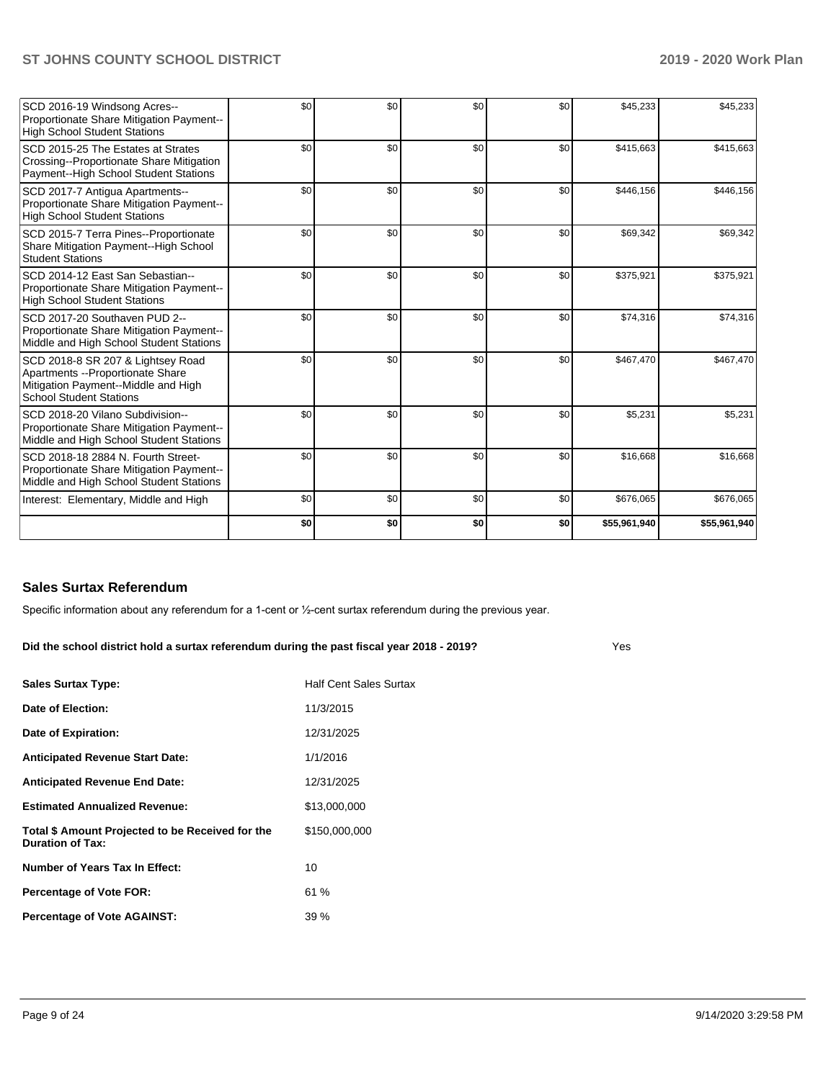| SCD 2016-19 Windsong Acres--<br>Proportionate Share Mitigation Payment--<br><b>High School Student Stations</b>                                 | \$0 | \$0 | \$0 | \$0 | \$45,233     | \$45,233     |
|-------------------------------------------------------------------------------------------------------------------------------------------------|-----|-----|-----|-----|--------------|--------------|
| SCD 2015-25 The Estates at Strates<br>Crossing--Proportionate Share Mitigation<br>Payment--High School Student Stations                         | \$0 | \$0 | \$0 | \$0 | \$415,663    | \$415,663    |
| SCD 2017-7 Antigua Apartments--<br>Proportionate Share Mitigation Payment--<br><b>High School Student Stations</b>                              | \$0 | \$0 | \$0 | \$0 | \$446,156    | \$446,156    |
| SCD 2015-7 Terra Pines--Proportionate<br>Share Mitigation Payment-High School<br><b>Student Stations</b>                                        | \$0 | \$0 | \$0 | \$0 | \$69,342     | \$69,342     |
| SCD 2014-12 East San Sebastian--<br>Proportionate Share Mitigation Payment--<br><b>High School Student Stations</b>                             | \$0 | \$0 | \$0 | \$0 | \$375,921    | \$375,921    |
| SCD 2017-20 Southaven PUD 2--<br>Proportionate Share Mitigation Payment--<br>Middle and High School Student Stations                            | \$0 | \$0 | \$0 | \$0 | \$74,316     | \$74,316     |
| SCD 2018-8 SR 207 & Lightsey Road<br>Apartments -- Proportionate Share<br>Mitigation Payment--Middle and High<br><b>School Student Stations</b> | \$0 | \$0 | \$0 | \$0 | \$467,470    | \$467,470    |
| SCD 2018-20 Vilano Subdivision--<br>Proportionate Share Mitigation Payment--<br>Middle and High School Student Stations                         | \$0 | \$0 | \$0 | \$0 | \$5,231      | \$5,231      |
| SCD 2018-18 2884 N. Fourth Street-<br>Proportionate Share Mitigation Payment--<br>Middle and High School Student Stations                       | \$0 | \$0 | \$0 | \$0 | \$16,668     | \$16,668     |
| Interest: Elementary, Middle and High                                                                                                           | \$0 | \$0 | \$0 | \$0 | \$676,065    | \$676,065    |
|                                                                                                                                                 | \$0 | \$0 | \$0 | \$0 | \$55,961,940 | \$55,961,940 |

### **Sales Surtax Referendum**

Specific information about any referendum for a 1-cent or ½-cent surtax referendum during the previous year.

**Did the school district hold a surtax referendum during the past fiscal year 2018 - 2019?**

| <b>Sales Surtax Type:</b>                                                   | <b>Half Cent Sales Surtax</b> |
|-----------------------------------------------------------------------------|-------------------------------|
| Date of Election:                                                           | 11/3/2015                     |
| Date of Expiration:                                                         | 12/31/2025                    |
| <b>Anticipated Revenue Start Date:</b>                                      | 1/1/2016                      |
| <b>Anticipated Revenue End Date:</b>                                        | 12/31/2025                    |
| <b>Estimated Annualized Revenue:</b>                                        | \$13,000,000                  |
| Total \$ Amount Projected to be Received for the<br><b>Duration of Tax:</b> | \$150,000,000                 |
| Number of Years Tax In Effect:                                              | 10                            |
| <b>Percentage of Vote FOR:</b>                                              | 61%                           |
| <b>Percentage of Vote AGAINST:</b>                                          | 39%                           |

Yes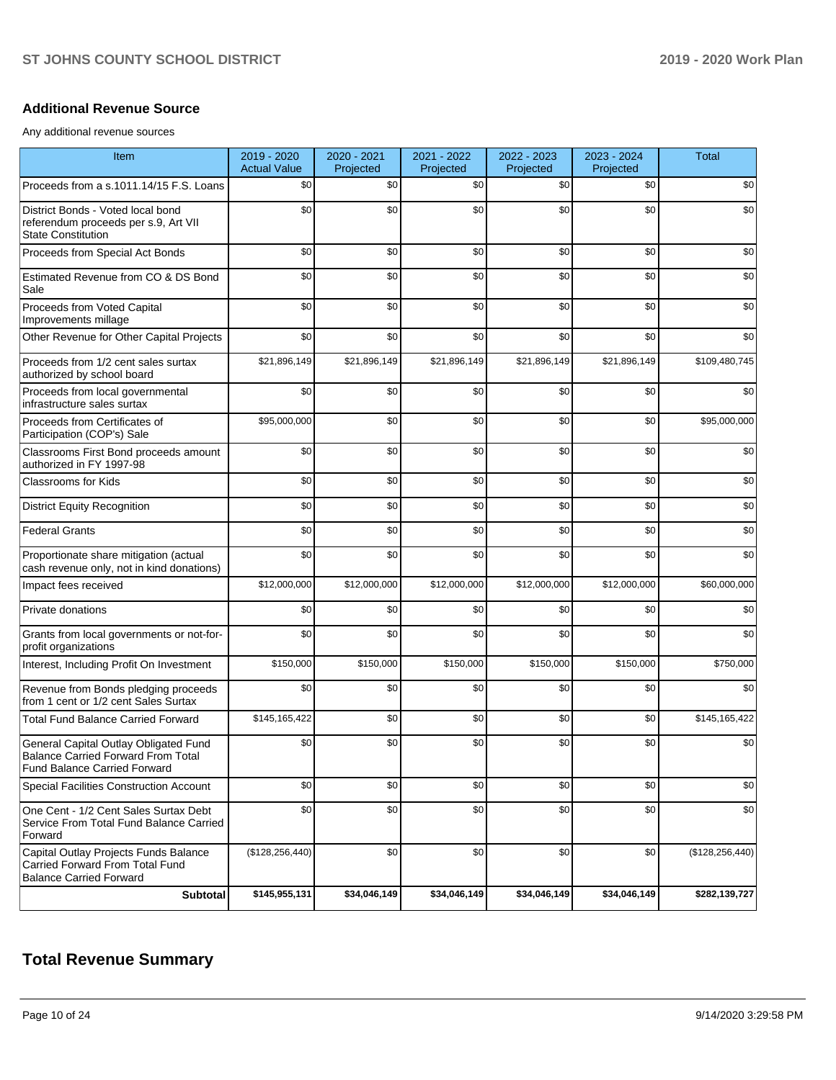### **Additional Revenue Source**

Any additional revenue sources

| Item                                                                                                                      | 2019 - 2020<br><b>Actual Value</b> | 2020 - 2021<br>Projected | 2021 - 2022<br>Projected | 2022 - 2023<br>Projected | 2023 - 2024<br>Projected | <b>Total</b>      |
|---------------------------------------------------------------------------------------------------------------------------|------------------------------------|--------------------------|--------------------------|--------------------------|--------------------------|-------------------|
| Proceeds from a s.1011.14/15 F.S. Loans                                                                                   | \$0                                | \$0                      | \$0                      | \$0                      | \$0                      | \$0               |
| District Bonds - Voted local bond<br>referendum proceeds per s.9, Art VII<br><b>State Constitution</b>                    | \$0                                | \$0                      | \$0                      | \$0                      | \$0                      | \$0               |
| Proceeds from Special Act Bonds                                                                                           | \$0                                | \$0                      | \$0                      | \$0                      | \$0                      | \$0               |
| Estimated Revenue from CO & DS Bond<br>Sale                                                                               | \$0                                | \$0                      | \$0                      | \$0                      | \$0                      | \$0               |
| Proceeds from Voted Capital<br>Improvements millage                                                                       | \$0                                | \$0                      | \$0                      | \$0                      | \$0                      | \$0               |
| Other Revenue for Other Capital Projects                                                                                  | \$0                                | \$0                      | \$0                      | \$0                      | \$0                      | \$0               |
| Proceeds from 1/2 cent sales surtax<br>authorized by school board                                                         | \$21,896,149                       | \$21,896,149             | \$21,896,149             | \$21,896,149             | \$21,896,149             | \$109,480,745     |
| Proceeds from local governmental<br>infrastructure sales surtax                                                           | \$0                                | \$0                      | \$0                      | \$0                      | \$0                      | \$0               |
| Proceeds from Certificates of<br>Participation (COP's) Sale                                                               | \$95,000,000                       | \$0                      | \$0                      | \$0                      | \$0                      | \$95,000,000      |
| Classrooms First Bond proceeds amount<br>authorized in FY 1997-98                                                         | \$0                                | \$0                      | \$0                      | \$0                      | \$0                      | \$0               |
| Classrooms for Kids                                                                                                       | \$0                                | \$0                      | \$0                      | \$0                      | \$0                      | \$0               |
| <b>District Equity Recognition</b>                                                                                        | \$0                                | \$0                      | \$0                      | \$0                      | \$0                      | \$0               |
| <b>Federal Grants</b>                                                                                                     | \$0                                | \$0                      | \$0                      | \$0                      | \$0                      | \$0               |
| Proportionate share mitigation (actual<br>cash revenue only, not in kind donations)                                       | \$0                                | \$0                      | \$0                      | \$0                      | \$0                      | \$0               |
| Impact fees received                                                                                                      | \$12,000,000                       | \$12,000,000             | \$12,000,000             | \$12,000,000             | \$12,000,000             | \$60,000,000      |
| Private donations                                                                                                         | \$0                                | \$0                      | \$0                      | \$0                      | \$0                      | \$0               |
| Grants from local governments or not-for-<br>profit organizations                                                         | \$0                                | \$0                      | \$0                      | \$0                      | \$0                      | \$0               |
| Interest, Including Profit On Investment                                                                                  | \$150,000                          | \$150,000                | \$150,000                | \$150,000                | \$150,000                | \$750,000         |
| Revenue from Bonds pledging proceeds<br>from 1 cent or 1/2 cent Sales Surtax                                              | \$0                                | \$0                      | \$0                      | \$0                      | \$0                      | \$0               |
| <b>Total Fund Balance Carried Forward</b>                                                                                 | \$145,165,422                      | \$0                      | \$0                      | \$0                      | \$0                      | \$145,165,422     |
| General Capital Outlay Obligated Fund<br><b>Balance Carried Forward From Total</b><br><b>Fund Balance Carried Forward</b> | \$0                                | \$0                      | \$0                      | \$0                      | \$0                      | \$0               |
| <b>Special Facilities Construction Account</b>                                                                            | \$0                                | \$0                      | \$0                      | \$0                      | \$0                      | \$0               |
| One Cent - 1/2 Cent Sales Surtax Debt<br>Service From Total Fund Balance Carried<br>Forward                               | \$0                                | \$0                      | \$0                      | \$0                      | \$0                      | \$0               |
| Capital Outlay Projects Funds Balance<br>Carried Forward From Total Fund<br><b>Balance Carried Forward</b>                | (\$128, 256, 440)                  | \$0                      | \$0                      | \$0                      | \$0                      | (\$128, 256, 440) |
| <b>Subtotal</b>                                                                                                           | \$145,955,131                      | \$34,046,149             | \$34,046,149             | \$34,046,149             | \$34,046,149             | \$282,139,727     |

## **Total Revenue Summary**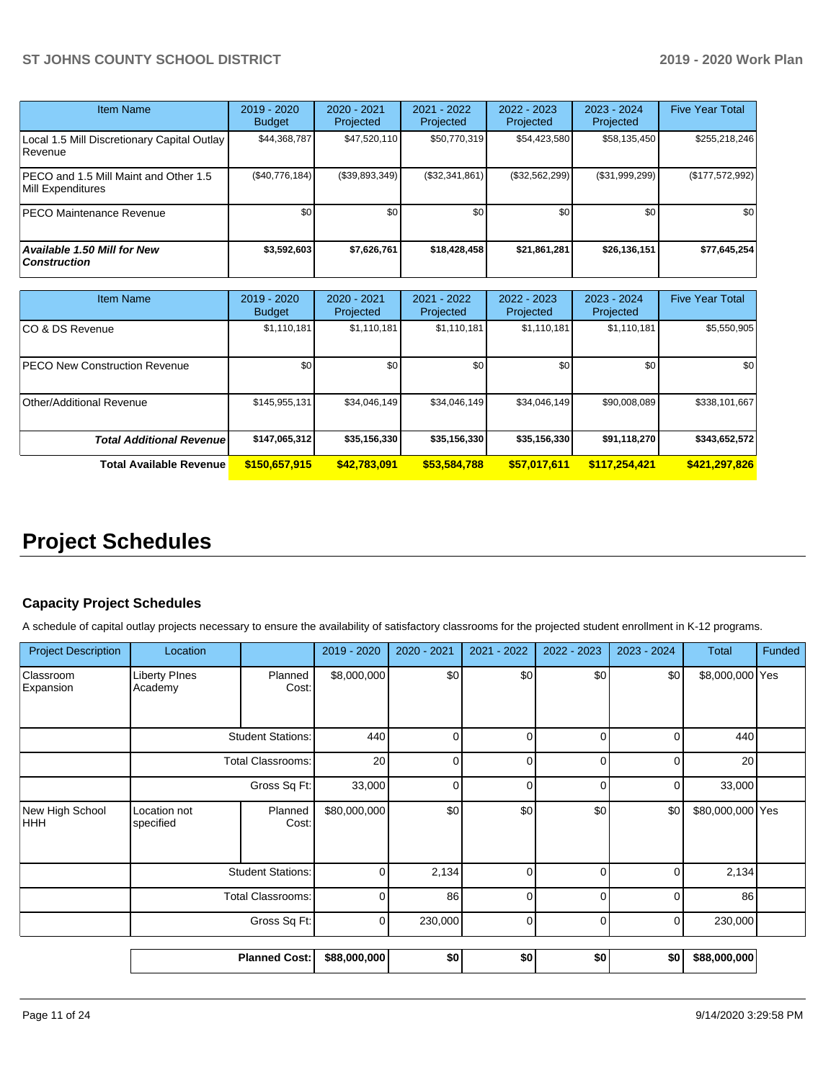| <b>Item Name</b>                                            | 2019 - 2020<br><b>Budget</b> | $2020 - 2021$<br>Projected | 2021 - 2022<br>Projected | 2022 - 2023<br>Projected | 2023 - 2024<br>Projected | <b>Five Year Total</b> |
|-------------------------------------------------------------|------------------------------|----------------------------|--------------------------|--------------------------|--------------------------|------------------------|
| Local 1.5 Mill Discretionary Capital Outlay<br>Revenue      | \$44,368,787                 | \$47,520,110               | \$50,770,319             | \$54,423,580             | \$58,135,450             | \$255,218,246          |
| IPECO and 1.5 Mill Maint and Other 1.5<br>Mill Expenditures | (S40, 776, 184)              | (S39, 893, 349)            | (\$32,341,861)           | (\$32,562,299)           | (\$31,999,299)           | (\$177,572,992)        |
| PECO Maintenance Revenue                                    | \$0 <sub>1</sub>             | \$0                        | \$0                      | \$0                      | \$0 <sub>1</sub>         | \$0                    |
| Available 1.50 Mill for New<br>  Construction               | \$3,592,603                  | \$7,626,761                | \$18,428,458             | \$21,861,281             | \$26,136,151             | \$77,645,254           |

| <b>Item Name</b>                      | 2019 - 2020<br><b>Budget</b> | 2020 - 2021<br>Projected | 2021 - 2022<br>Projected | 2022 - 2023<br>Projected | 2023 - 2024<br>Projected | <b>Five Year Total</b> |
|---------------------------------------|------------------------------|--------------------------|--------------------------|--------------------------|--------------------------|------------------------|
| ICO & DS Revenue                      | \$1,110,181                  | \$1,110,181              | \$1,110,181              | \$1,110,181              | \$1,110,181              | \$5,550,905            |
| <b>IPECO New Construction Revenue</b> | \$0 <sub>1</sub>             | \$0                      | \$0                      | \$0                      | \$0                      | \$0                    |
| Other/Additional Revenue              | \$145,955,131                | \$34,046,149             | \$34,046,149             | \$34,046,149             | \$90,008,089             | \$338,101,667          |
| <b>Total Additional Revenuel</b>      | \$147,065,312                | \$35,156,330             | \$35,156,330             | \$35,156,330             | \$91,118,270             | \$343,652,572          |
| <b>Total Available Revenue</b>        | \$150,657,915                | \$42,783,091             | \$53,584,788             | \$57,017,611             | \$117,254,421            | \$421,297,826          |

# **Project Schedules**

## **Capacity Project Schedules**

A schedule of capital outlay projects necessary to ensure the availability of satisfactory classrooms for the projected student enrollment in K-12 programs.

| <b>Project Description</b>    | Location                        |                          | 2019 - 2020  | 2020 - 2021 | 2021 - 2022 | 2022 - 2023 | 2023 - 2024 | <b>Total</b>     | Funded |
|-------------------------------|---------------------------------|--------------------------|--------------|-------------|-------------|-------------|-------------|------------------|--------|
| Classroom<br>Expansion        | <b>Liberty PInes</b><br>Academy | Planned<br>Cost:         | \$8,000,000  | \$0         | \$0         | \$0         | \$0         | \$8,000,000 Yes  |        |
|                               | <b>Student Stations:</b>        |                          | 440          | O           | $\Omega$    | ∩           | O           | 440              |        |
|                               | <b>Total Classrooms:</b>        |                          | 20           | ∩           | n           | ∩           | r           | 20               |        |
|                               | Gross Sq Ft:                    |                          | 33,000       | U           | $\Omega$    | U           | 0           | 33,000           |        |
| New High School<br><b>HHH</b> | Location not<br>specified       | Planned<br>Cost:         | \$80,000,000 | \$0         | \$0         | \$0         | \$0         | \$80,000,000 Yes |        |
|                               |                                 | <b>Student Stations:</b> | $\Omega$     | 2,134       | $\Omega$    | ი           | 0           | 2,134            |        |
|                               | <b>Total Classrooms:</b>        |                          | $\Omega$     | 86          | $\Omega$    | n           | O           | 86               |        |
|                               | Gross Sq Ft:                    |                          | $\Omega$     | 230,000     | $\Omega$    | O           | $\Omega$    | 230,000          |        |
|                               |                                 | <b>Planned Cost:</b>     | \$88,000,000 | \$0         | \$0         | \$0         | \$0         | \$88,000,000     |        |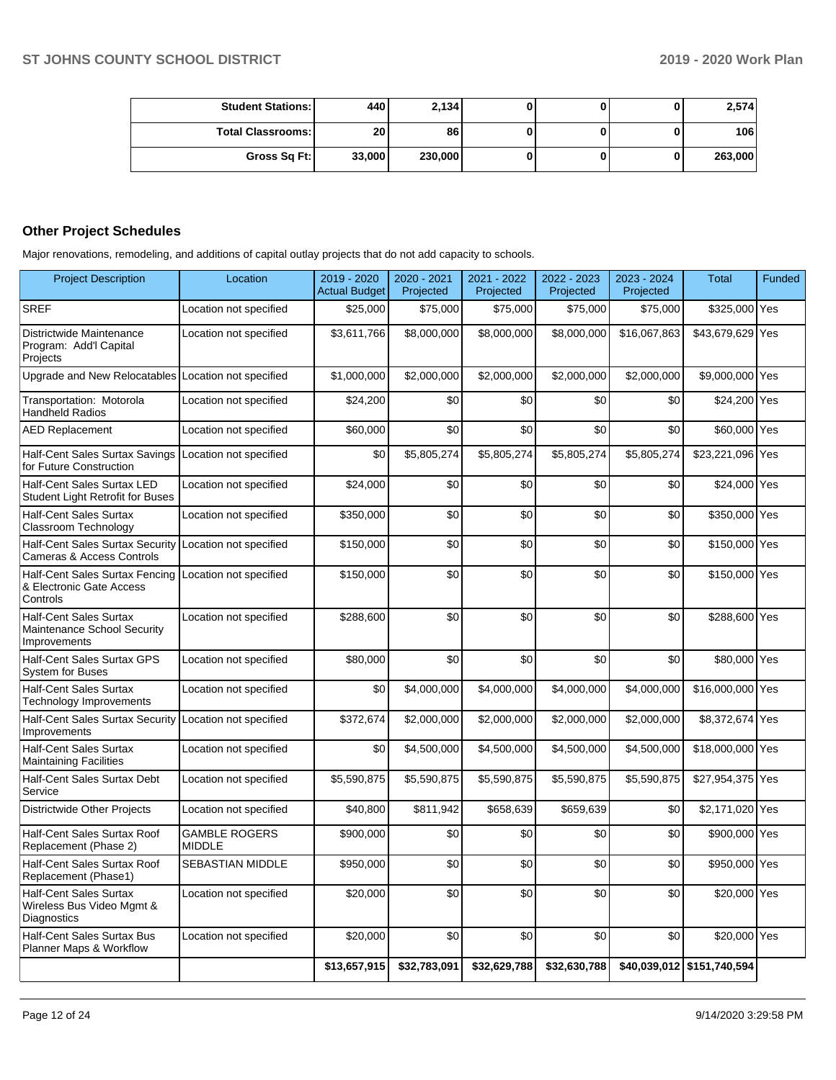| <b>Student Stations: I</b> | 440    | 2.134   |  | 2,574   |
|----------------------------|--------|---------|--|---------|
| <b>Total Classrooms:</b>   | 20     | 86      |  | 106     |
| Gross Sq Ft:               | 33,000 | 230,000 |  | 263,000 |

## **Other Project Schedules**

Major renovations, remodeling, and additions of capital outlay projects that do not add capacity to schools.

| <b>Project Description</b>                                                   | Location                              | 2019 - 2020<br><b>Actual Budget</b> | 2020 - 2021<br>Projected | 2021 - 2022<br>Projected | 2022 - 2023<br>Projected | 2023 - 2024<br>Projected | <b>Total</b>               | Funded |
|------------------------------------------------------------------------------|---------------------------------------|-------------------------------------|--------------------------|--------------------------|--------------------------|--------------------------|----------------------------|--------|
| <b>SREF</b>                                                                  | Location not specified                | \$25,000                            | \$75,000                 | \$75,000                 | \$75,000                 | \$75,000                 | \$325,000 Yes              |        |
| Districtwide Maintenance<br>Program: Add'l Capital<br>Projects               | Location not specified                | \$3,611,766                         | \$8,000,000              | \$8,000,000              | \$8,000,000              | \$16,067,863             | \$43,679,629 Yes           |        |
| Upgrade and New Relocatables Location not specified                          |                                       | \$1,000,000                         | \$2,000,000              | \$2,000,000              | \$2,000,000              | \$2,000,000              | \$9,000,000 Yes            |        |
| Transportation: Motorola<br><b>Handheld Radios</b>                           | Location not specified                | \$24,200                            | \$0                      | \$0                      | \$0                      | \$0                      | \$24,200 Yes               |        |
| <b>AED Replacement</b>                                                       | Location not specified                | \$60,000                            | \$0                      | \$0                      | \$0                      | \$0                      | \$60,000 Yes               |        |
| Half-Cent Sales Surtax Savings<br>for Future Construction                    | Location not specified                | \$0                                 | \$5,805,274              | \$5,805,274              | \$5,805,274              | \$5,805,274              | \$23,221,096 Yes           |        |
| Half-Cent Sales Surtax LED<br><b>Student Light Retrofit for Buses</b>        | Location not specified                | \$24,000                            | \$0                      | \$0                      | \$0                      | \$0                      | \$24,000 Yes               |        |
| <b>Half-Cent Sales Surtax</b><br>Classroom Technology                        | Location not specified                | \$350,000                           | \$0                      | \$0                      | \$0                      | \$0                      | \$350,000 Yes              |        |
| <b>Half-Cent Sales Surtax Security</b><br>Cameras & Access Controls          | Location not specified                | \$150,000                           | \$0                      | \$0                      | \$0                      | \$0                      | \$150,000 Yes              |        |
| Half-Cent Sales Surtax Fencing<br>& Electronic Gate Access<br>Controls       | Location not specified                | \$150,000                           | \$0                      | \$0                      | \$0                      | \$0                      | \$150,000 Yes              |        |
| <b>Half-Cent Sales Surtax</b><br>Maintenance School Security<br>Improvements | Location not specified                | \$288,600                           | \$0                      | \$0                      | \$0                      | \$0                      | \$288,600 Yes              |        |
| Half-Cent Sales Surtax GPS<br><b>System for Buses</b>                        | Location not specified                | \$80,000                            | \$0                      | \$0                      | \$0                      | \$0                      | \$80,000 Yes               |        |
| <b>Half-Cent Sales Surtax</b><br>Technology Improvements                     | Location not specified                | \$0                                 | \$4,000,000              | \$4,000,000              | \$4,000,000              | \$4,000,000              | \$16,000,000 Yes           |        |
| <b>Half-Cent Sales Surtax Security</b><br>Improvements                       | Location not specified                | \$372,674                           | \$2,000,000              | \$2,000,000              | \$2,000,000              | \$2,000,000              | \$8,372,674 Yes            |        |
| <b>Half-Cent Sales Surtax</b><br><b>Maintaining Facilities</b>               | Location not specified                | \$0                                 | \$4,500,000              | \$4,500,000              | \$4,500,000              | \$4,500,000              | \$18,000,000 Yes           |        |
| Half-Cent Sales Surtax Debt<br>Service                                       | Location not specified                | \$5,590,875                         | \$5,590,875              | \$5,590,875              | \$5,590,875              | \$5,590,875              | \$27,954,375 Yes           |        |
| Districtwide Other Projects                                                  | Location not specified                | \$40,800                            | \$811,942                | \$658,639                | \$659,639                | \$0                      | \$2,171,020 Yes            |        |
| Half-Cent Sales Surtax Roof<br>Replacement (Phase 2)                         | <b>GAMBLE ROGERS</b><br><b>MIDDLE</b> | \$900,000                           | \$0                      | \$0                      | \$0                      | \$0                      | \$900,000 Yes              |        |
| Half-Cent Sales Surtax Roof<br>Replacement (Phase1)                          | SEBASTIAN MIDDLE                      | \$950,000                           | \$0                      | \$0                      | \$0                      | \$0                      | \$950,000 Yes              |        |
| <b>Half-Cent Sales Surtax</b><br>Wireless Bus Video Mgmt &<br>Diagnostics    | Location not specified                | \$20,000                            | \$0                      | \$0                      | \$0                      | \$0                      | \$20,000 Yes               |        |
| <b>Half-Cent Sales Surtax Bus</b><br>Planner Maps & Workflow                 | Location not specified                | \$20,000                            | \$0                      | \$0                      | \$0                      | \$0                      | \$20,000 Yes               |        |
|                                                                              |                                       | \$13,657,915                        | \$32,783,091             | \$32,629,788             | \$32,630,788             |                          | \$40,039,012 \$151,740,594 |        |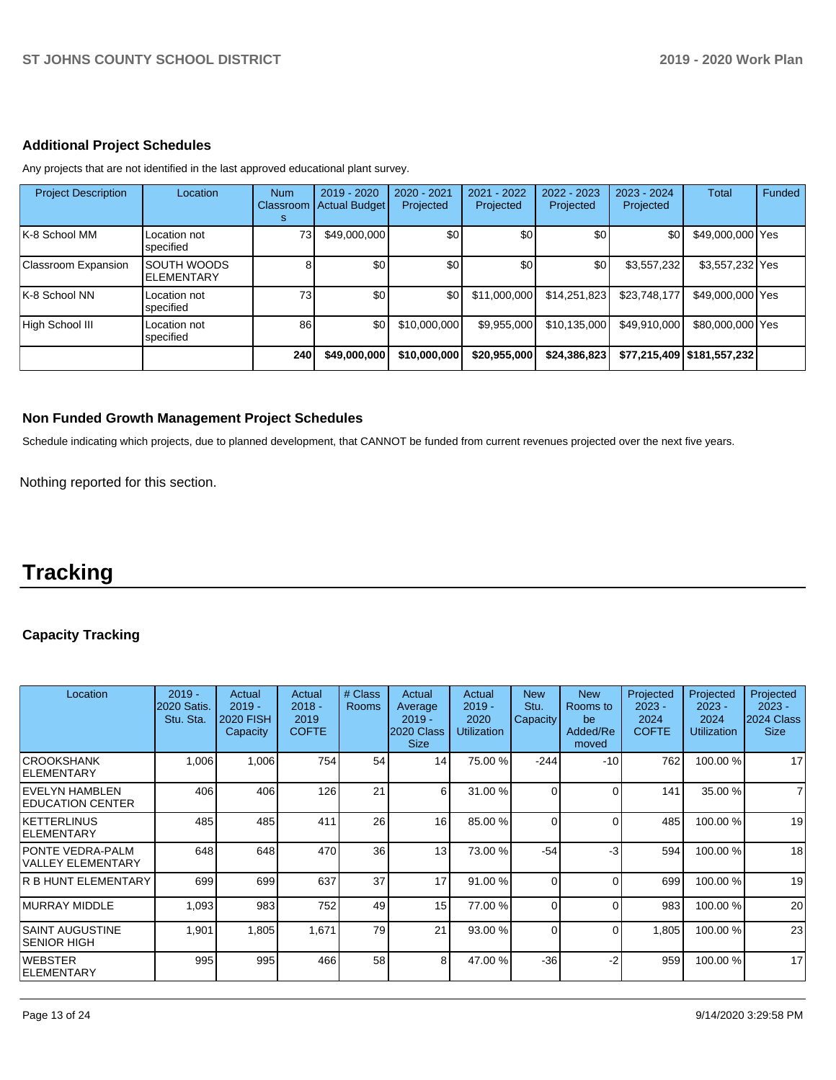## **Additional Project Schedules**

Any projects that are not identified in the last approved educational plant survey.

| <b>Project Description</b> | Location                         | <b>Num</b><br>Classroom<br>s | 2019 - 2020<br><b>Actual Budget</b> | $2020 - 2021$<br>Projected | $2021 - 2022$<br>Projected | 2022 - 2023<br>Projected | $2023 - 2024$<br>Projected | <b>Total</b>                 | Funded |
|----------------------------|----------------------------------|------------------------------|-------------------------------------|----------------------------|----------------------------|--------------------------|----------------------------|------------------------------|--------|
| ∣K-8 School MM             | Location not<br>specified        | 73                           | \$49,000,000                        | \$0                        | \$0                        | \$0                      | \$0                        | \$49,000,000 Yes             |        |
| Classroom Expansion        | <b>SOUTH WOODS</b><br>ELEMENTARY |                              | \$0                                 | \$0                        | \$0                        | \$0                      | \$3,557,232                | \$3,557,232 Yes              |        |
| K-8 School NN              | Location not<br>specified        | 73 <sub>l</sub>              | \$0                                 | ا 30                       | \$11.000.000               | \$14,251,823             | \$23,748,177               | \$49,000,000 Yes             |        |
| High School III            | Location not<br>specified        | 86                           | \$0                                 | \$10,000,000               | \$9,955,000                | \$10,135,000             | \$49,910,000               | \$80,000,000 Yes             |        |
|                            |                                  | 240                          | \$49,000,000                        | \$10,000,000               | \$20,955,000               | \$24,386,823             |                            | \$77,215,409   \$181,557,232 |        |

#### **Non Funded Growth Management Project Schedules**

Schedule indicating which projects, due to planned development, that CANNOT be funded from current revenues projected over the next five years.

Nothing reported for this section.

# **Tracking**

## **Capacity Tracking**

| Location                                            | $2019 -$<br><b>2020 Satis.</b><br>Stu. Sta. | Actual<br>$2019 -$<br><b>2020 FISH</b><br>Capacity | Actual<br>$2018 -$<br>2019<br><b>COFTE</b> | # Class<br><b>Rooms</b> | Actual<br>Average<br>$2019 -$<br>2020 Class<br><b>Size</b> | Actual<br>$2019 -$<br>2020<br><b>Utilization</b> | <b>New</b><br>Stu.<br>Capacity | <b>New</b><br>Rooms to<br>be<br>Added/Re<br>moved | Projected<br>$2023 -$<br>2024<br><b>COFTE</b> | Projected<br>$2023 -$<br>2024<br>Utilization | Projected<br>$2023 -$<br>2024 Class<br><b>Size</b> |
|-----------------------------------------------------|---------------------------------------------|----------------------------------------------------|--------------------------------------------|-------------------------|------------------------------------------------------------|--------------------------------------------------|--------------------------------|---------------------------------------------------|-----------------------------------------------|----------------------------------------------|----------------------------------------------------|
| ICROOKSHANK<br><b>IELEMENTARY</b>                   | 1,006                                       | 1,006                                              | 754                                        | 54                      | 14                                                         | 75.00 %                                          | $-244$                         | $-10$                                             | 762                                           | 100.00 %                                     | 17                                                 |
| IEVELYN HAMBLEN<br><b>IEDUCATION CENTER</b>         | 406                                         | 406                                                | 126                                        | 21                      | 6                                                          | 31.00 %                                          | 0                              | $\Omega$                                          | 141                                           | 35.00 %                                      | $\overline{7}$                                     |
| KETTERLINUS<br>ELEMENTARY                           | 485                                         | 485                                                | 411                                        | 26                      | 16 <sup>1</sup>                                            | 85.00 %                                          | $\Omega$                       | $\Omega$                                          | 485                                           | 100.00%                                      | 19                                                 |
| <b>PONTE VEDRA-PALM</b><br><b>VALLEY ELEMENTARY</b> | 648                                         | 648                                                | 470                                        | 36                      | 13                                                         | 73.00 %                                          | $-54$                          | -3                                                | 594                                           | 100.00 %                                     | 18                                                 |
| <b>R B HUNT ELEMENTARY</b>                          | 699                                         | 699                                                | 637                                        | 37                      | 17                                                         | 91.00 %                                          | $\Omega$                       | $\Omega$                                          | 699                                           | 100.00%                                      | 19                                                 |
| IMURRAY MIDDLE                                      | 1,093                                       | 983                                                | 752                                        | 49                      | 15                                                         | 77.00 %                                          | $\Omega$                       | 0                                                 | 983                                           | 100.00 %                                     | 20                                                 |
| ISAINT AUGUSTINE<br>ISENIOR HIGH                    | 1,901                                       | 1,805                                              | 1,671                                      | 79                      | 21                                                         | 93.00 %                                          | $\Omega$                       | 0                                                 | 1,805                                         | 100.00 %                                     | 23                                                 |
| IWEBSTER<br><b>IELEMENTARY</b>                      | 995                                         | 995                                                | 466                                        | 58                      | 8                                                          | 47.00 %                                          | $-36$                          | -2                                                | 959                                           | 100.00 %                                     | 17                                                 |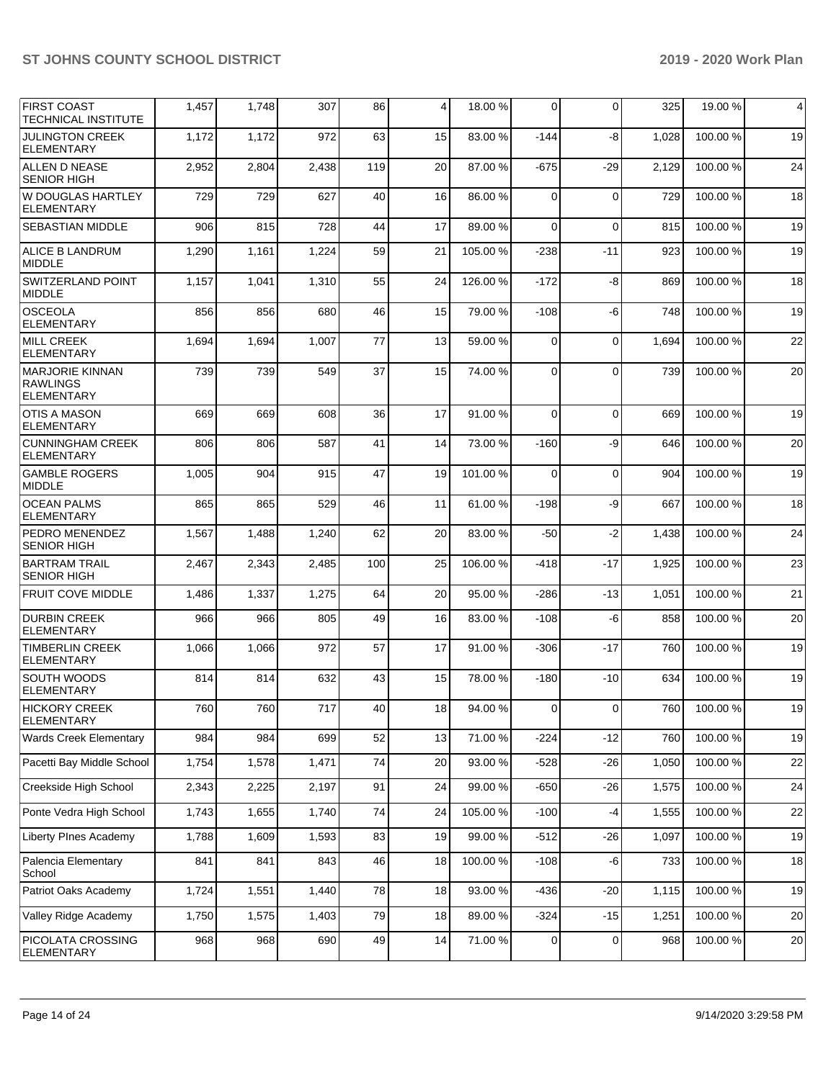| IFIRST COAST<br><b>TECHNICAL INSTITUTE</b>                     | 1,457 | 1,748 | 307   | 86  | 4  | 18.00 %  | $\mathbf 0$ | $\Omega$       | 325   | 19.00 %      | 4    |
|----------------------------------------------------------------|-------|-------|-------|-----|----|----------|-------------|----------------|-------|--------------|------|
| <b>JULINGTON CREEK</b><br><b>ELEMENTARY</b>                    | 1,172 | 1,172 | 972   | 63  | 15 | 83.00 %  | $-144$      | -8             | 1,028 | 100.00%      | 19   |
| ALLEN D NEASE<br><b>SENIOR HIGH</b>                            | 2,952 | 2,804 | 2,438 | 119 | 20 | 87.00 %  | $-675$      | -29            | 2,129 | 100.00%      | 24   |
| W DOUGLAS HARTLEY<br><b>ELEMENTARY</b>                         | 729   | 729   | 627   | 40  | 16 | 86.00 %  | $\Omega$    | $\Omega$       | 729   | 100.00%      | 18   |
| <b>SEBASTIAN MIDDLE</b>                                        | 906   | 815   | 728   | 44  | 17 | 89.00 %  | 0           | $\mathbf 0$    | 815   | 100.00%      | 19   |
| <b>ALICE B LANDRUM</b><br><b>MIDDLE</b>                        | 1,290 | 1,161 | 1,224 | 59  | 21 | 105.00%  | $-238$      | -11            | 923   | 100.00%      | 19   |
| SWITZERLAND POINT<br><b>MIDDLE</b>                             | 1,157 | 1,041 | 1,310 | 55  | 24 | 126.00%  | $-172$      | -8             | 869   | 100.00%      | 18   |
| <b>OSCEOLA</b><br><b>ELEMENTARY</b>                            | 856   | 856   | 680   | 46  | 15 | 79.00 %  | $-108$      | -6             | 748   | 100.00%      | 19   |
| <b>MILL CREEK</b><br><b>ELEMENTARY</b>                         | 1,694 | 1,694 | 1,007 | 77  | 13 | 59.00 %  | 0           | $\mathbf 0$    | 1,694 | 100.00%      | 22   |
| <b>MARJORIE KINNAN</b><br><b>RAWLINGS</b><br><b>ELEMENTARY</b> | 739   | 739   | 549   | 37  | 15 | 74.00 %  | $\Omega$    | $\Omega$       | 739   | 100.00%      | 20   |
| <b>OTIS A MASON</b><br><b>ELEMENTARY</b>                       | 669   | 669   | 608   | 36  | 17 | 91.00%   | $\Omega$    | $\Omega$       | 669   | 100.00%      | 19   |
| <b>CUNNINGHAM CREEK</b><br>ELEMENTARY                          | 806   | 806   | 587   | 41  | 14 | 73.00 %  | $-160$      | -9             | 646   | 100.00%      | 20   |
| <b>GAMBLE ROGERS</b><br><b>MIDDLE</b>                          | 1,005 | 904   | 915   | 47  | 19 | 101.00%  | 0           | $\mathbf 0$    | 904   | 100.00%      | 19   |
| <b>OCEAN PALMS</b><br><b>ELEMENTARY</b>                        | 865   | 865   | 529   | 46  | 11 | 61.00%   | $-198$      | -9             | 667   | 100.00%      | 18   |
| <b>PEDRO MENENDEZ</b><br><b>SENIOR HIGH</b>                    | 1,567 | 1,488 | 1,240 | 62  | 20 | 83.00 %  | $-50$       | $-2$           | 1,438 | 100.00%      | 24   |
| <b>BARTRAM TRAIL</b><br><b>SENIOR HIGH</b>                     | 2,467 | 2,343 | 2,485 | 100 | 25 | 106.00%  | $-418$      | -17            | 1,925 | 100.00%      | 23   |
| <b>FRUIT COVE MIDDLE</b>                                       | 1,486 | 1,337 | 1,275 | 64  | 20 | 95.00 %  | $-286$      | $-13$          | 1,051 | 100.00%      | 21   |
| <b>DURBIN CREEK</b><br><b>ELEMENTARY</b>                       | 966   | 966   | 805   | 49  | 16 | 83.00 %  | $-108$      | -6             | 858   | 100.00%      | 20   |
| <b>TIMBERLIN CREEK</b><br><b>ELEMENTARY</b>                    | 1,066 | 1,066 | 972   | 57  | 17 | 91.00%   | $-306$      | $-17$          | 760   | 100.00%      | 19   |
| SOUTH WOODS<br><b>ELEMENTARY</b>                               | 814   | 814   | 632   | 43  | 15 | 78.00 %  | $-180$      | -10            | 634   | 100.00%      | 19   |
| <b>HICKORY CREEK</b><br><b>ELEMENTARY</b>                      | 760   | 760   | 717   | 40  | 18 | 94.00 %  | 0           | $\overline{0}$ |       | 760 100.00 % | $19$ |
| Wards Creek Elementary                                         | 984   | 984   | 699   | 52  | 13 | 71.00 %  | $-224$      | $-12$          | 760   | 100.00%      | 19   |
| Pacetti Bay Middle School                                      | 1,754 | 1,578 | 1,471 | 74  | 20 | 93.00 %  | $-528$      | $-26$          | 1,050 | 100.00%      | 22   |
| Creekside High School                                          | 2,343 | 2,225 | 2,197 | 91  | 24 | 99.00 %  | $-650$      | $-26$          | 1,575 | 100.00%      | 24   |
| Ponte Vedra High School                                        | 1,743 | 1,655 | 1,740 | 74  | 24 | 105.00 % | $-100$      | $-4$           | 1,555 | 100.00%      | 22   |
| Liberty PInes Academy                                          | 1,788 | 1,609 | 1,593 | 83  | 19 | 99.00 %  | $-512$      | $-26$          | 1,097 | 100.00%      | 19   |
| Palencia Elementary<br>School                                  | 841   | 841   | 843   | 46  | 18 | 100.00%  | $-108$      | -6             | 733   | 100.00%      | 18   |
| Patriot Oaks Academy                                           | 1,724 | 1,551 | 1,440 | 78  | 18 | 93.00 %  | $-436$      | $-20$          | 1,115 | 100.00%      | 19   |
| Valley Ridge Academy                                           | 1,750 | 1,575 | 1,403 | 79  | 18 | 89.00%   | $-324$      | $-15$          | 1,251 | 100.00%      | 20   |
| PICOLATA CROSSING<br><b>ELEMENTARY</b>                         | 968   | 968   | 690   | 49  | 14 | 71.00%   | 0           | 0              | 968   | 100.00%      | 20   |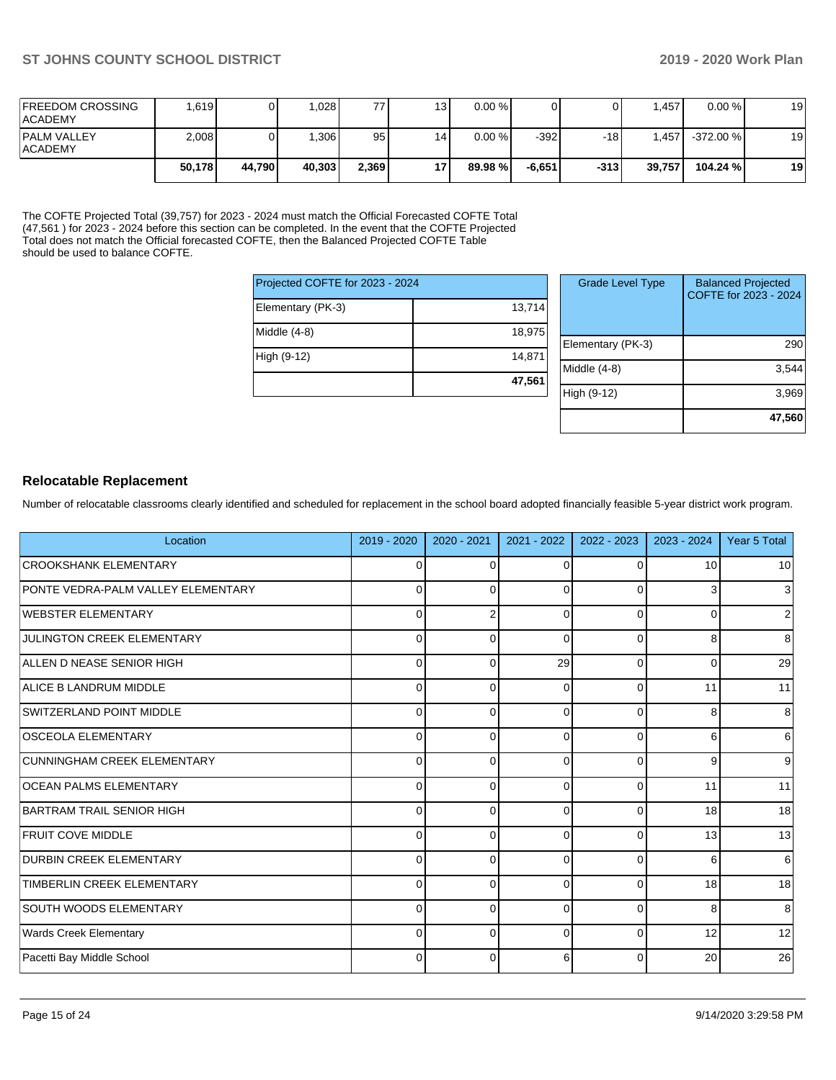| <b>FREEDOM CROSSING</b><br><b>ACADEMY</b> | .619   |        | .028   | 77    | 13  | $0.00 \%$ |         |        | .457   | $0.00 \%$  | 19 |
|-------------------------------------------|--------|--------|--------|-------|-----|-----------|---------|--------|--------|------------|----|
| <b>PALM VALLEY</b><br><b>ACADEMY</b>      | 2,008  |        | .306   | 95    | 14. | $0.00 \%$ | -3921   | $-18$  | .457   | $-372.00%$ | 19 |
|                                           | 50,178 | 44.790 | 40.303 | 2,369 | 17  | 89.98 %   | -6.6511 | $-313$ | 39,757 | 104.24 %   | 19 |

The COFTE Projected Total (39,757) for 2023 - 2024 must match the Official Forecasted COFTE Total (47,561 ) for 2023 - 2024 before this section can be completed. In the event that the COFTE Projected Total does not match the Official forecasted COFTE, then the Balanced Projected COFTE Table should be used to balance COFTE.

| Projected COFTE for 2023 - 2024 |        |  |  |  |  |  |
|---------------------------------|--------|--|--|--|--|--|
| Elementary (PK-3)               | 13,714 |  |  |  |  |  |
| Middle (4-8)                    | 18,975 |  |  |  |  |  |
| High (9-12)                     | 14.871 |  |  |  |  |  |
|                                 | 47.561 |  |  |  |  |  |

| <b>Grade Level Type</b> | <b>Balanced Projected</b><br>COFTE for 2023 - 2024 |
|-------------------------|----------------------------------------------------|
| Elementary (PK-3)       | 290                                                |
| Middle $(4-8)$          | 3,544                                              |
| High (9-12)             | 3,969                                              |
|                         | 47,560                                             |

## **Relocatable Replacement**

Number of relocatable classrooms clearly identified and scheduled for replacement in the school board adopted financially feasible 5-year district work program.

| Location                           | 2019 - 2020 | $2020 - 2021$ | 2021 - 2022 | 2022 - 2023 | 2023 - 2024 | Year 5 Total     |
|------------------------------------|-------------|---------------|-------------|-------------|-------------|------------------|
| <b>CROOKSHANK ELEMENTARY</b>       | $\mathbf 0$ | 0             | 0           | 0           | 10          | 10 <sup>1</sup>  |
| PONTE VEDRA-PALM VALLEY ELEMENTARY | $\mathbf 0$ | $\Omega$      | $\Omega$    | $\Omega$    | 3           | $\mathbf{3}$     |
| WEBSTER ELEMENTARY                 | 0           | 2             | $\Omega$    | $\Omega$    | 0           | $\overline{2}$   |
| JULINGTON CREEK ELEMENTARY         | 0           | $\Omega$      | $\Omega$    | 0           | 8           | 8                |
| ALLEN D NEASE SENIOR HIGH          | 0           | $\Omega$      | 29          | $\Omega$    | 0           | 29               |
| ALICE B LANDRUM MIDDLE             | 0           | $\Omega$      | $\Omega$    | $\Omega$    | 11          | 11               |
| SWITZERLAND POINT MIDDLE           | 0           | $\Omega$      | $\Omega$    | $\Omega$    | 8           | 8                |
| <b>OSCEOLA ELEMENTARY</b>          | $\Omega$    | $\Omega$      | $\Omega$    | $\Omega$    | 6           | $6 \overline{6}$ |
| CUNNINGHAM CREEK ELEMENTARY        | $\mathbf 0$ | $\Omega$      | 0           | $\Omega$    | 9           | 9                |
| <b>OCEAN PALMS ELEMENTARY</b>      | $\mathbf 0$ | $\Omega$      | 0           | $\Omega$    | 11          | 11               |
| BARTRAM TRAIL SENIOR HIGH          | $\Omega$    | $\Omega$      | $\Omega$    | $\Omega$    | 18          | 18               |
| <b>FRUIT COVE MIDDLE</b>           | 0           | $\Omega$      | $\Omega$    | $\Omega$    | 13          | 13               |
| <b>DURBIN CREEK ELEMENTARY</b>     | 0           | $\Omega$      | $\Omega$    | $\Omega$    | 6           | $6 \overline{6}$ |
| TIMBERLIN CREEK ELEMENTARY         | $\mathbf 0$ | $\Omega$      | $\Omega$    | $\Omega$    | 18          | 18               |
| SOUTH WOODS ELEMENTARY             | $\mathbf 0$ | $\Omega$      | $\Omega$    | $\Omega$    | 8           | 8                |
| <b>Wards Creek Elementary</b>      | $\mathbf 0$ | $\Omega$      | $\Omega$    | $\Omega$    | 12          | 12               |
| Pacetti Bay Middle School          | $\Omega$    | $\Omega$      | 6           | $\Omega$    | 20          | 26               |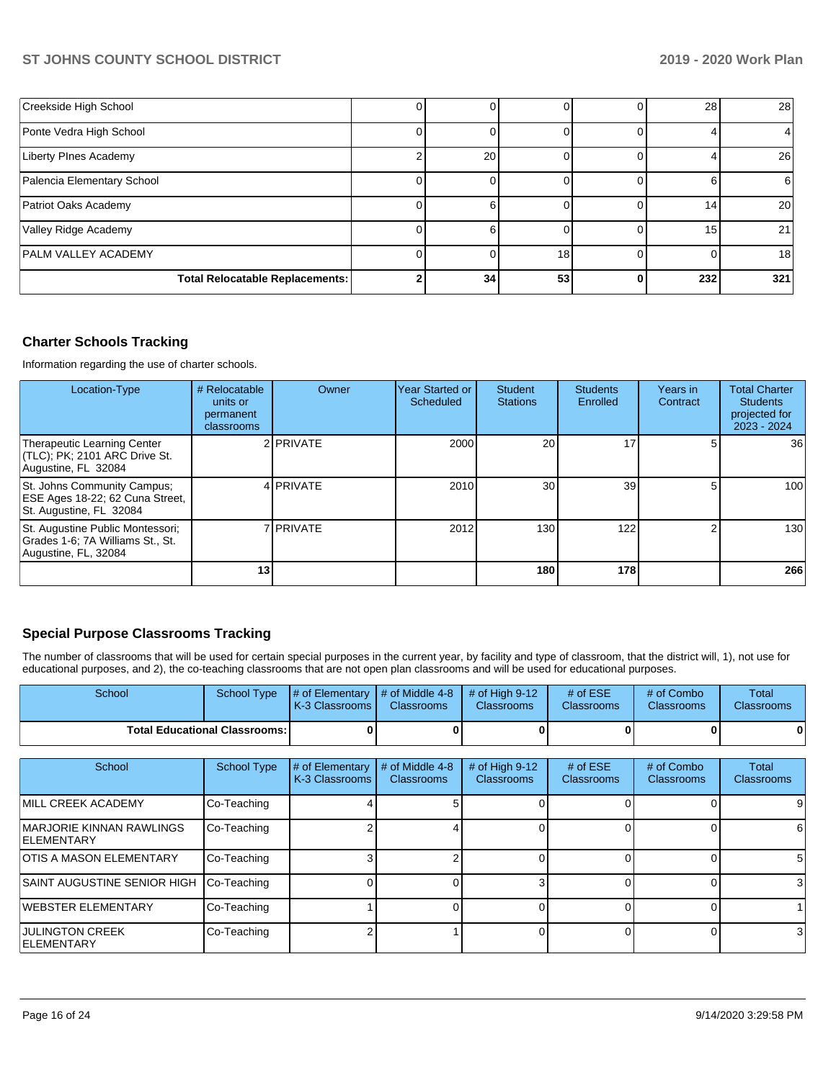| Creekside High School                  |    |    |   | 28  | 28  |
|----------------------------------------|----|----|---|-----|-----|
| Ponte Vedra High School                |    |    |   |     |     |
| Liberty PInes Academy                  | 20 |    |   |     | 26  |
| Palencia Elementary School             |    |    |   |     | 6   |
| Patriot Oaks Academy                   |    |    |   | 14  | 20  |
| Valley Ridge Academy                   |    |    |   | 15  | 21  |
| <b>PALM VALLEY ACADEMY</b>             |    | 18 |   |     | 18  |
| <b>Total Relocatable Replacements:</b> | 34 | 53 | 0 | 232 | 321 |

## **Charter Schools Tracking**

Information regarding the use of charter schools.

| Location-Type                                                                                | # Relocatable<br>units or<br>permanent<br>classrooms | Owner            | Year Started or<br>Scheduled | Student<br><b>Stations</b> | <b>Students</b><br>Enrolled | Years in<br>Contract | <b>Total Charter</b><br><b>Students</b><br>projected for<br>$2023 - 2024$ |
|----------------------------------------------------------------------------------------------|------------------------------------------------------|------------------|------------------------------|----------------------------|-----------------------------|----------------------|---------------------------------------------------------------------------|
| Therapeutic Learning Center<br>$ $ (TLC); PK; 2101 ARC Drive St.<br>Augustine, FL 32084      |                                                      | 2 PRIVATE        | 2000                         | 20                         | 17                          | 5.                   | 36 <sup>1</sup>                                                           |
| St. Johns Community Campus;<br>ESE Ages 18-22; 62 Cuna Street,<br>St. Augustine, FL 32084    |                                                      | 4 PRIVATE        | 2010                         | 30 <sub>1</sub>            | 39                          | 51                   | 100                                                                       |
| St. Augustine Public Montessori;<br>Grades 1-6; 7A Williams St., St.<br>Augustine, FL, 32084 |                                                      | 7 <b>PRIVATE</b> | 2012                         | 130                        | 122                         | 2                    | 130                                                                       |
|                                                                                              | 13                                                   |                  |                              | 180                        | 178 l                       |                      | 266                                                                       |

## **Special Purpose Classrooms Tracking**

The number of classrooms that will be used for certain special purposes in the current year, by facility and type of classroom, that the district will, 1), not use for educational purposes, and 2), the co-teaching classrooms that are not open plan classrooms and will be used for educational purposes.

| School                                 |  | School Type $\#$ of Elementary $\#$ of Middle 4-8 $\#$ of High 9-12<br>K-3 Classrooms I | <b>Classrooms</b> | <b>Classrooms</b> | # of $ESE$<br><b>Classrooms</b> | # of Combo<br><b>Classrooms</b> | Total<br><b>Classrooms</b> |
|----------------------------------------|--|-----------------------------------------------------------------------------------------|-------------------|-------------------|---------------------------------|---------------------------------|----------------------------|
| <b>Total Educational Classrooms: I</b> |  |                                                                                         |                   |                   | 01                              | 01                              |                            |

| School                                                 | School Type | # of Elementary<br>K-3 Classrooms | # of Middle 4-8<br><b>Classrooms</b> | # of High $9-12$<br><b>Classrooms</b> | $#$ of ESE<br><b>Classrooms</b> | # of Combo<br><b>Classrooms</b> | Total<br>Classrooms |
|--------------------------------------------------------|-------------|-----------------------------------|--------------------------------------|---------------------------------------|---------------------------------|---------------------------------|---------------------|
| <b>IMILL CREEK ACADEMY</b>                             | Co-Teaching |                                   |                                      |                                       |                                 |                                 | 9                   |
| <b>IMARJORIE KINNAN RAWLINGS</b><br><b>IELEMENTARY</b> | Co-Teaching |                                   |                                      |                                       |                                 |                                 | 6                   |
| <b>IOTIS A MASON ELEMENTARY</b>                        | Co-Teaching |                                   |                                      |                                       |                                 |                                 | 5'                  |
| SAINT AUGUSTINE SENIOR HIGH                            | Co-Teaching |                                   |                                      |                                       |                                 |                                 | 3                   |
| WEBSTER ELEMENTARY                                     | Co-Teaching |                                   |                                      |                                       |                                 |                                 |                     |
| <b>JULINGTON CREEK</b><br><b>IELEMENTARY</b>           | Co-Teaching |                                   |                                      |                                       |                                 |                                 | 3                   |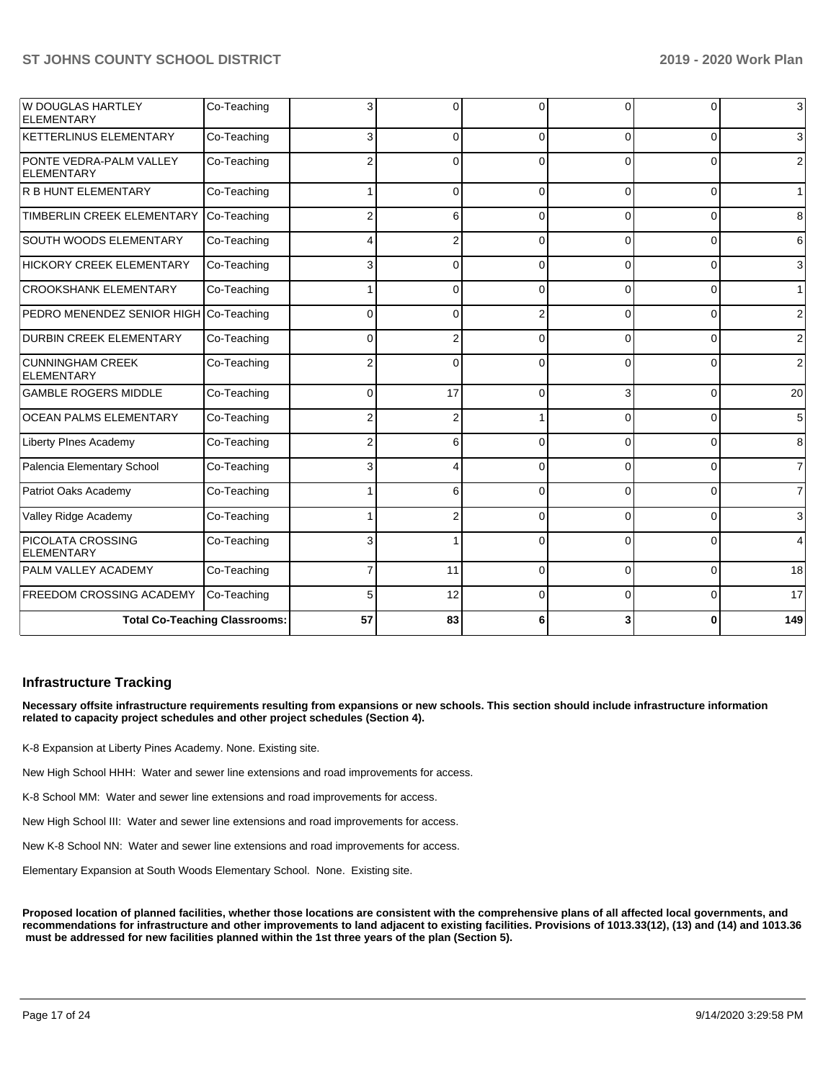| W DOUGLAS HARTLEY<br><b>ELEMENTARY</b>       | Co-Teaching                          |          | 0              | $\Omega$ | <sup>0</sup> | 0              | $\mathbf{3}$    |
|----------------------------------------------|--------------------------------------|----------|----------------|----------|--------------|----------------|-----------------|
| <b>KETTERLINUS ELEMENTARY</b>                | Co-Teaching                          | 3        | 0              | $\Omega$ | 0            | $\Omega$       | $\mathbf{3}$    |
| PONTE VEDRA-PALM VALLEY<br><b>ELEMENTARY</b> | Co-Teaching                          |          | 0              | $\Omega$ | 0            | $\Omega$       | $\overline{2}$  |
| <b>R B HUNT ELEMENTARY</b>                   | Co-Teaching                          |          | 0              | $\Omega$ | $\Omega$     | $\Omega$       | 1               |
| <b>TIMBERLIN CREEK ELEMENTARY</b>            | Co-Teaching                          |          | 6              | $\Omega$ | 0            | $\Omega$       | 8               |
| <b>SOUTH WOODS ELEMENTARY</b>                | Co-Teaching                          |          | $\overline{2}$ | $\Omega$ | 0            | $\Omega$       | 6               |
| <b>HICKORY CREEK ELEMENTARY</b>              | Co-Teaching                          | 3        | $\Omega$       | $\Omega$ | $\Omega$     | 0              | $\mathbf{3}$    |
| <b>CROOKSHANK ELEMENTARY</b>                 | Co-Teaching                          |          | 0              | $\Omega$ | $\Omega$     | $\Omega$       | 1               |
| PEDRO MENENDEZ SENIOR HIGH                   | Co-Teaching                          | $\Omega$ | 0              | 2        | $\Omega$     | $\Omega$       | $\overline{2}$  |
| <b>DURBIN CREEK ELEMENTARY</b>               | Co-Teaching                          | 0        | 2              | $\Omega$ | <sup>0</sup> | 0              | $\overline{2}$  |
| <b>CUNNINGHAM CREEK</b><br><b>ELEMENTARY</b> | Co-Teaching                          |          | $\Omega$       | $\Omega$ | $\Omega$     | 0              | $\overline{2}$  |
| <b>GAMBLE ROGERS MIDDLE</b>                  | Co-Teaching                          | $\Omega$ | 17             | $\Omega$ | 3            | $\Omega$       | 20              |
| OCEAN PALMS ELEMENTARY                       | Co-Teaching                          | 2        | $\overline{2}$ |          | 0            | $\overline{0}$ | $5\overline{)}$ |
| Liberty PInes Academy                        | Co-Teaching                          |          | 6              | $\Omega$ | 0            | $\Omega$       | 8               |
| Palencia Elementary School                   | Co-Teaching                          | 3        | 4              | $\Omega$ | 0            | 0              | $\overline{7}$  |
| Patriot Oaks Academy                         | Co-Teaching                          |          | 6              | $\Omega$ | 0            | 0              | $\overline{7}$  |
| Valley Ridge Academy                         | Co-Teaching                          |          | 2              | $\Omega$ | 0            | $\Omega$       | $\mathbf{3}$    |
| PICOLATA CROSSING<br><b>ELEMENTARY</b>       | Co-Teaching                          | 3        |                | $\Omega$ | 0            | $\Omega$       | $\overline{4}$  |
| PALM VALLEY ACADEMY                          | Co-Teaching                          | 7        | 11             | $\Omega$ | $\Omega$     | $\Omega$       | 18              |
| <b>FREEDOM CROSSING ACADEMY</b>              | Co-Teaching                          | 5        | 12             | $\Omega$ | 0            | $\overline{0}$ | 17              |
|                                              | <b>Total Co-Teaching Classrooms:</b> | 57       | 83             | 6        |              | 0              | 149             |

### **Infrastructure Tracking**

**Necessary offsite infrastructure requirements resulting from expansions or new schools. This section should include infrastructure information related to capacity project schedules and other project schedules (Section 4).** 

K-8 Expansion at Liberty Pines Academy. None. Existing site.

New High School HHH: Water and sewer line extensions and road improvements for access.

K-8 School MM: Water and sewer line extensions and road improvements for access.

New High School III: Water and sewer line extensions and road improvements for access.

New K-8 School NN: Water and sewer line extensions and road improvements for access.

Elementary Expansion at South Woods Elementary School. None. Existing site.

**Proposed location of planned facilities, whether those locations are consistent with the comprehensive plans of all affected local governments, and recommendations for infrastructure and other improvements to land adjacent to existing facilities. Provisions of 1013.33(12), (13) and (14) and 1013.36** must be addressed for new facilities planned within the 1st three years of the plan (Section 5).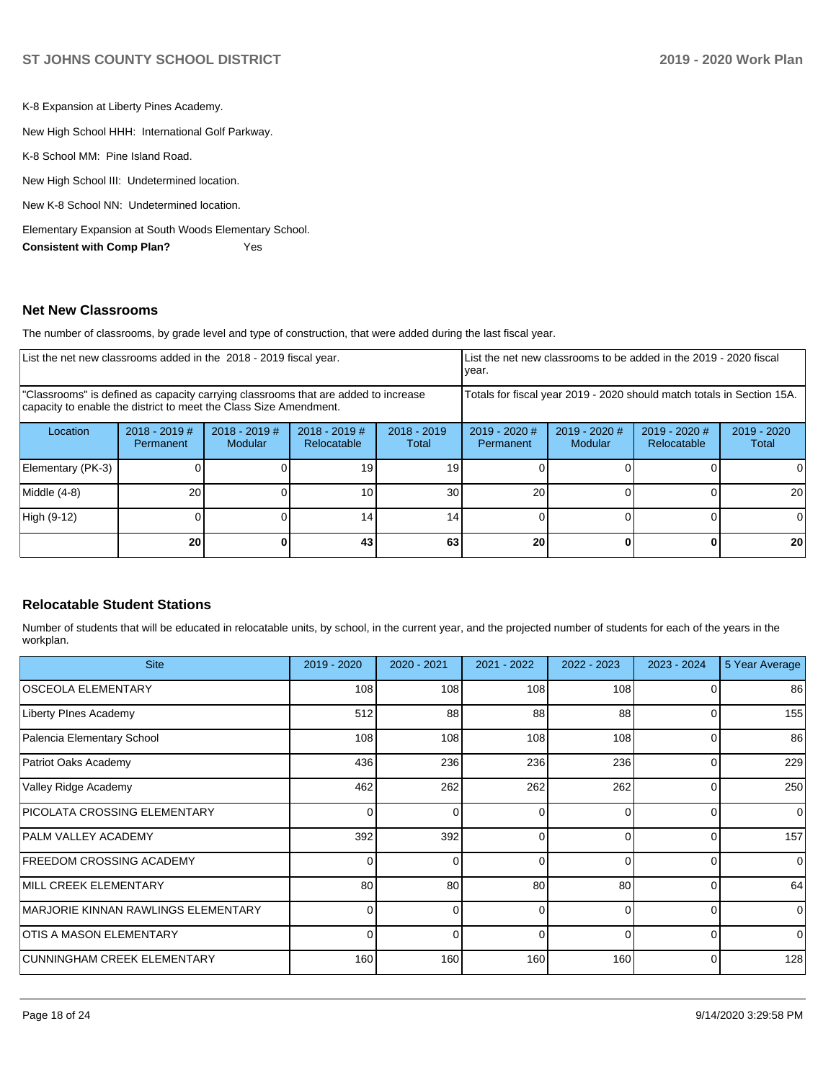K-8 Expansion at Liberty Pines Academy.

New High School HHH: International Golf Parkway.

K-8 School MM: Pine Island Road.

New High School III: Undetermined location.

New K-8 School NN: Undetermined location.

Elementary Expansion at South Woods Elementary School.

**Consistent with Comp Plan?** Yes

## **Net New Classrooms**

The number of classrooms, by grade level and type of construction, that were added during the last fiscal year.

| List the net new classrooms added in the 2018 - 2019 fiscal year.                                                                                       |                              |                                   |                                |                        | List the net new classrooms to be added in the 2019 - 2020 fiscal<br>year. |                          |                              |                        |  |
|---------------------------------------------------------------------------------------------------------------------------------------------------------|------------------------------|-----------------------------------|--------------------------------|------------------------|----------------------------------------------------------------------------|--------------------------|------------------------------|------------------------|--|
| "Classrooms" is defined as capacity carrying classrooms that are added to increase<br>capacity to enable the district to meet the Class Size Amendment. |                              |                                   |                                |                        | Totals for fiscal year 2019 - 2020 should match totals in Section 15A.     |                          |                              |                        |  |
| Location                                                                                                                                                | $2018 - 2019$ #<br>Permanent | $2018 - 2019$ #<br><b>Modular</b> | $2018 - 2019$ #<br>Relocatable | $2018 - 2019$<br>Total | $2019 - 2020$ #<br><b>Permanent</b>                                        | 2019 - 2020 #<br>Modular | 2019 - 2020 #<br>Relocatable | $2019 - 2020$<br>Total |  |
| Elementary (PK-3)                                                                                                                                       |                              |                                   | 19                             | 19                     |                                                                            |                          |                              | 0                      |  |
| Middle (4-8)                                                                                                                                            | 20                           |                                   | 10                             | 30                     | 20                                                                         |                          |                              | 20                     |  |
| High (9-12)                                                                                                                                             |                              |                                   | 14.                            | 14 <sub>1</sub>        |                                                                            |                          |                              | $\Omega$               |  |
|                                                                                                                                                         | 20                           |                                   | 43                             | 63                     | 20                                                                         |                          |                              | 20                     |  |

### **Relocatable Student Stations**

Number of students that will be educated in relocatable units, by school, in the current year, and the projected number of students for each of the years in the workplan.

| <b>Site</b>                         | 2019 - 2020 | $2020 - 2021$ | $2021 - 2022$ | $2022 - 2023$ | 2023 - 2024 | 5 Year Average |
|-------------------------------------|-------------|---------------|---------------|---------------|-------------|----------------|
| <b>OSCEOLA ELEMENTARY</b>           | 108         | 108           | 108           | 108           |             | 86             |
| <b>Liberty PInes Academy</b>        | 512         | 88            | 88            | 88            | 0           | 155            |
| Palencia Elementary School          | 108         | 108           | 108           | 108           | 0           | 86             |
| Patriot Oaks Academy                | 436         | 236           | 236           | 236           | $\Omega$    | 229            |
| Valley Ridge Academy                | 462         | 262           | 262           | 262           | $\Omega$    | 250            |
| <b>PICOLATA CROSSING ELEMENTARY</b> | $\Omega$    | <sup>0</sup>  | 0             | $\Omega$      | 0           | 0              |
| <b>PALM VALLEY ACADEMY</b>          | 392         | 392           | 0             | $\Omega$      | 0           | 157            |
| <b>FREEDOM CROSSING ACADEMY</b>     | $\Omega$    |               | 0             | $\Omega$      | 0           | $\Omega$       |
| MILL CREEK ELEMENTARY               | 80          | 80            | 80            | 80            | 0           | 64             |
| MARJORIE KINNAN RAWLINGS ELEMENTARY | 0           | <sup>0</sup>  | 0             | $\Omega$      | 0           | $\Omega$       |
| OTIS A MASON ELEMENTARY             | 0           |               | $\Omega$      | $\Omega$      | $\Omega$    | $\Omega$       |
| CUNNINGHAM CREEK ELEMENTARY         | 160         | 160           | 160           | 160           | 0           | 128            |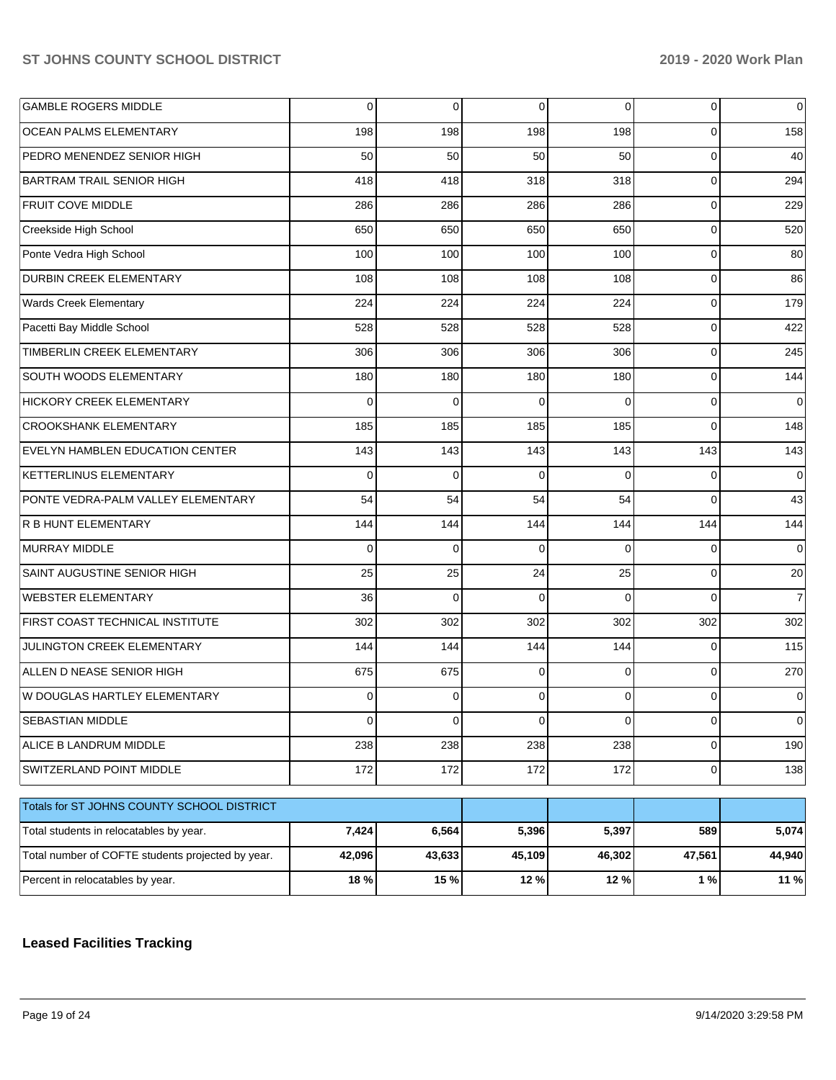| <b>GAMBLE ROGERS MIDDLE</b>                       | $\mathbf 0$ | $\mathbf 0$ | 0        | $\Omega$ | 0            | 0              |
|---------------------------------------------------|-------------|-------------|----------|----------|--------------|----------------|
| OCEAN PALMS ELEMENTARY                            | 198         | 198         | 198      | 198      | 0            | 158            |
| PEDRO MENENDEZ SENIOR HIGH                        | 50          | 50          | 50       | 50       | 0            | 40             |
| <b>BARTRAM TRAIL SENIOR HIGH</b>                  | 418         | 418         | 318      | 318      | 0            | 294            |
| <b>FRUIT COVE MIDDLE</b>                          | 286         | 286         | 286      | 286      | 0            | 229            |
| Creekside High School                             | 650         | 650         | 650      | 650      | 0            | 520            |
| Ponte Vedra High School                           | 100         | 100         | 100      | 100      | 0            | 80             |
| <b>DURBIN CREEK ELEMENTARY</b>                    | 108         | 108         | 108      | 108      | 0            | 86             |
| Wards Creek Elementary                            | 224         | 224         | 224      | 224      | 0            | 179            |
| Pacetti Bay Middle School                         | 528         | 528         | 528      | 528      | 0            | 422            |
| TIMBERLIN CREEK ELEMENTARY                        | 306         | 306         | 306      | 306      | 0            | 245            |
| SOUTH WOODS ELEMENTARY                            | 180         | 180         | 180      | 180      | 0            | 144            |
| HICKORY CREEK ELEMENTARY                          | 0           | 0           | 0        | $\Omega$ | 0            | $\Omega$       |
| <b>CROOKSHANK ELEMENTARY</b>                      | 185         | 185         | 185      | 185      | $\Omega$     | 148            |
| EVELYN HAMBLEN EDUCATION CENTER                   | 143         | 143         | 143      | 143      | 143          | 143            |
| <b>KETTERLINUS ELEMENTARY</b>                     | 0           | 0           | 0        | $\Omega$ | 0            | 0              |
| PONTE VEDRA-PALM VALLEY ELEMENTARY                | 54          | 54          | 54       | 54       | $\Omega$     | 43             |
| R B HUNT ELEMENTARY                               | 144         | 144         | 144      | 144      | 144          | 144            |
| <b>MURRAY MIDDLE</b>                              | 0           | 0           | $\Omega$ | $\Omega$ | $\Omega$     | $\Omega$       |
| SAINT AUGUSTINE SENIOR HIGH                       | 25          | 25          | 24       | 25       | 0            | 20             |
| <b>WEBSTER ELEMENTARY</b>                         | 36          | $\mathbf 0$ | $\Omega$ | $\Omega$ | $\Omega$     | $\overline{7}$ |
| FIRST COAST TECHNICAL INSTITUTE                   | 302         | 302         | 302      | 302      | 302          | 302            |
| JULINGTON CREEK ELEMENTARY                        | 144         | 144         | 144      | 144      | 0            | 115            |
| ALLEN D NEASE SENIOR HIGH                         | 675         | 675         | 0        | $\Omega$ | 0            | 270            |
| W DOUGLAS HARTLEY ELEMENTARY                      | 0           | 0           | 0        | 0        | 0            | 0              |
| SEBASTIAN MIDDLE                                  | 0           | $\pmb{0}$   | 0        | 0        | 0            | 0              |
| ALICE B LANDRUM MIDDLE                            | 238         | 238         | 238      | 238      | $\mathbf{O}$ | 190            |
| SWITZERLAND POINT MIDDLE                          | 172         | 172         | 172      | 172      | $\mathbf{O}$ | 138            |
| Totals for ST JOHNS COUNTY SCHOOL DISTRICT        |             |             |          |          |              |                |
| Total students in relocatables by year.           | 7,424       | 6,564       | 5,396    | 5,397    | 589          | 5,074          |
| Total number of COFTE students projected by year. | 42,096      | 43,633      | 45,109   | 46,302   | 47,561       | 44,940         |
| Percent in relocatables by year.                  | 18 %        | 15 %        | 12 %     | 12 %     | 1 %          | 11%            |

## **Leased Facilities Tracking**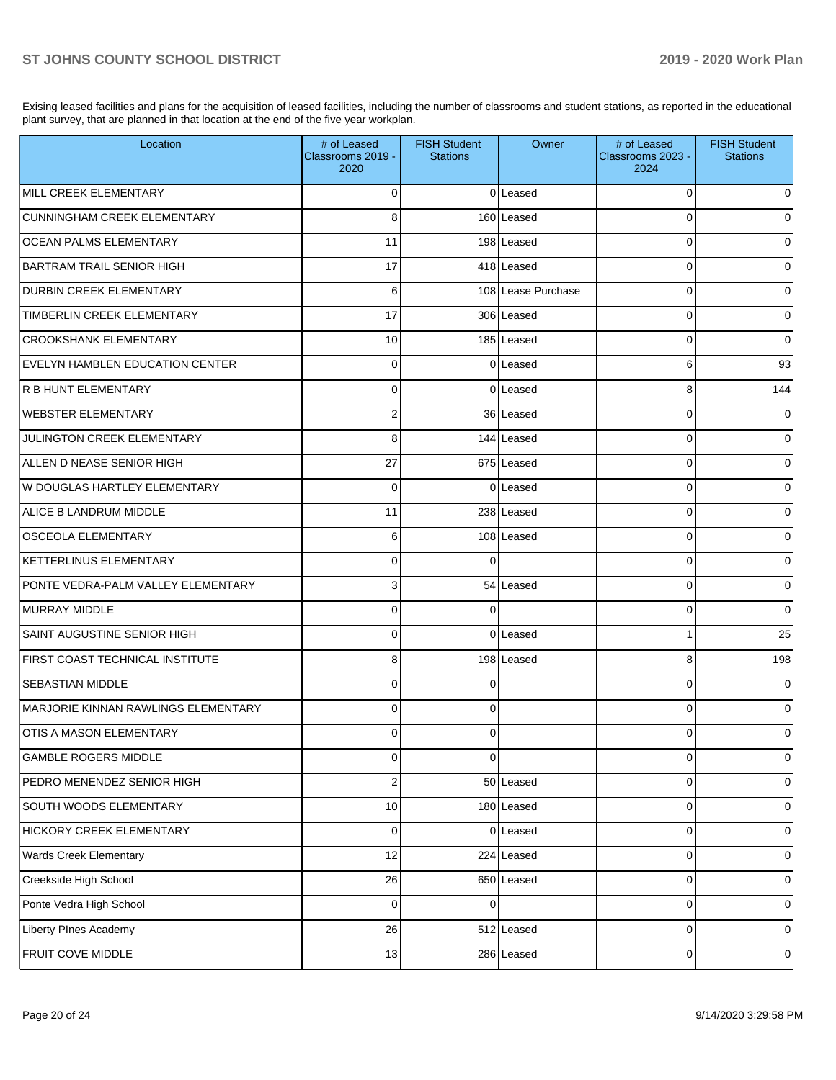Exising leased facilities and plans for the acquisition of leased facilities, including the number of classrooms and student stations, as reported in the educational plant survey, that are planned in that location at the end of the five year workplan.

| Location                                   | # of Leased<br>Classrooms 2019 -<br>2020 | <b>FISH Student</b><br><b>Stations</b> | Owner              | # of Leased<br>Classrooms 2023 -<br>2024 | <b>FISH Student</b><br><b>Stations</b> |
|--------------------------------------------|------------------------------------------|----------------------------------------|--------------------|------------------------------------------|----------------------------------------|
| MILL CREEK ELEMENTARY                      | $\Omega$                                 |                                        | 0 Leased           | $\Omega$                                 | 0                                      |
| CUNNINGHAM CREEK ELEMENTARY                | 8                                        |                                        | 160 Leased         | $\Omega$                                 | 0                                      |
| <b>OCEAN PALMS ELEMENTARY</b>              | 11                                       |                                        | 198 Leased         | $\Omega$                                 | 0                                      |
| <b>BARTRAM TRAIL SENIOR HIGH</b>           | 17                                       |                                        | 418 Leased         | $\Omega$                                 | 0                                      |
| <b>DURBIN CREEK ELEMENTARY</b>             | 6                                        |                                        | 108 Lease Purchase | $\Omega$                                 | 0                                      |
| TIMBERLIN CREEK ELEMENTARY                 | 17                                       |                                        | 306 Leased         | $\Omega$                                 | $\mathbf 0$                            |
| <b>CROOKSHANK ELEMENTARY</b>               | 10                                       |                                        | 185 Leased         | $\Omega$                                 | $\mathbf 0$                            |
| <b>EVELYN HAMBLEN EDUCATION CENTER</b>     | $\Omega$                                 |                                        | 0 Leased           | 6                                        | 93                                     |
| R B HUNT ELEMENTARY                        | $\Omega$                                 |                                        | 0 Leased           | 8                                        | 144                                    |
| <b>WEBSTER ELEMENTARY</b>                  | $\overline{2}$                           |                                        | 36 Leased          | $\Omega$                                 | 0                                      |
| JULINGTON CREEK ELEMENTARY                 | 8                                        |                                        | 144 Leased         | $\Omega$                                 | 0                                      |
| ALLEN D NEASE SENIOR HIGH                  | 27                                       |                                        | 675 Leased         | $\Omega$                                 | 0                                      |
| W DOUGLAS HARTLEY ELEMENTARY               | $\Omega$                                 |                                        | 0 Leased           | $\Omega$                                 | 0                                      |
| ALICE B LANDRUM MIDDLE                     | 11                                       |                                        | 238 Leased         | $\Omega$                                 | 0                                      |
| <b>OSCEOLA ELEMENTARY</b>                  | 6                                        |                                        | 108 Leased         | $\Omega$                                 | 0                                      |
| <b>KETTERLINUS ELEMENTARY</b>              | $\Omega$                                 | $\Omega$                               |                    | $\Omega$                                 | 0                                      |
| PONTE VEDRA-PALM VALLEY ELEMENTARY         | 3                                        |                                        | 54 Leased          | $\Omega$                                 | 0                                      |
| <b>IMURRAY MIDDLE</b>                      | $\Omega$                                 | $\Omega$                               |                    | $\Omega$                                 | $\mathbf 0$                            |
| SAINT AUGUSTINE SENIOR HIGH                | $\Omega$                                 |                                        | 0 Leased           | 1                                        | 25                                     |
| FIRST COAST TECHNICAL INSTITUTE            | 8                                        |                                        | 198 Leased         | 8                                        | 198                                    |
| <b>SEBASTIAN MIDDLE</b>                    | $\Omega$                                 | 0                                      |                    | $\Omega$                                 | $\mathbf 0$                            |
| <b>MARJORIE KINNAN RAWLINGS ELEMENTARY</b> | $\Omega$                                 | $\Omega$                               |                    | $\Omega$                                 | 0                                      |
| <b>OTIS A MASON ELEMENTARY</b>             | 0                                        | 0                                      |                    | 0                                        | 0                                      |
| GAMBLE ROGERS MIDDLE                       | $\mathbf 0$                              | $\Omega$                               |                    | 0                                        | 0                                      |
| PEDRO MENENDEZ SENIOR HIGH                 | $\overline{2}$                           |                                        | 50 Leased          | 0                                        | $\overline{0}$                         |
| SOUTH WOODS ELEMENTARY                     | 10                                       |                                        | 180 Leased         | 0                                        | $\overline{0}$                         |
| HICKORY CREEK ELEMENTARY                   | 0                                        |                                        | 0 Leased           | 0                                        | $\overline{0}$                         |
| Wards Creek Elementary                     | 12                                       |                                        | 224 Leased         | 0                                        | $\overline{0}$                         |
| Creekside High School                      | 26                                       |                                        | 650 Leased         | 0                                        | $\overline{0}$                         |
| Ponte Vedra High School                    | 0                                        | $\Omega$                               |                    | 0                                        | $\overline{0}$                         |
| Liberty PInes Academy                      | 26                                       |                                        | 512 Leased         | 0                                        | $\overline{0}$                         |
| FRUIT COVE MIDDLE                          | 13                                       |                                        | 286 Leased         | 0                                        | 0                                      |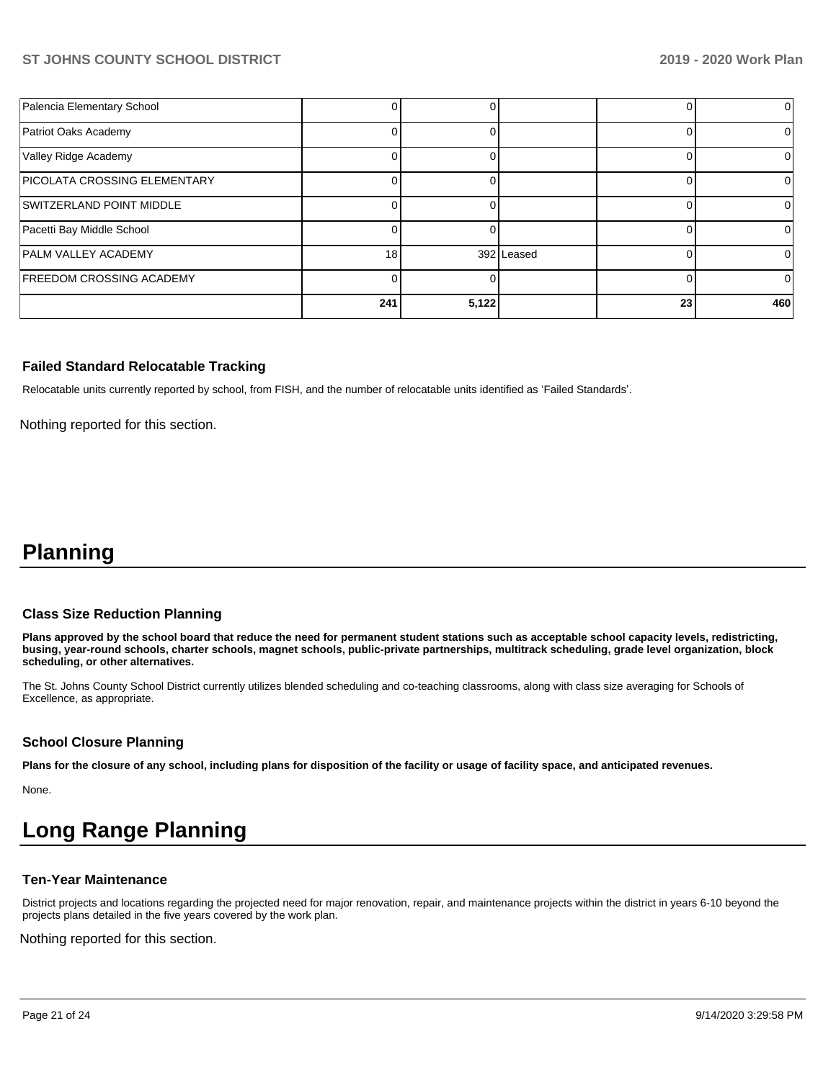| Palencia Elementary School          |     |       |            |    | $\Omega$ |
|-------------------------------------|-----|-------|------------|----|----------|
| Patriot Oaks Academy                |     |       |            |    |          |
| Valley Ridge Academy                |     |       |            |    |          |
| <b>PICOLATA CROSSING ELEMENTARY</b> |     |       |            |    |          |
| SWITZERLAND POINT MIDDLE            |     |       |            |    |          |
| Pacetti Bay Middle School           |     |       |            |    | O        |
| <b>PALM VALLEY ACADEMY</b>          | 18  |       | 392 Leased |    |          |
| <b>FREEDOM CROSSING ACADEMY</b>     |     |       |            |    |          |
|                                     | 241 | 5,122 |            | 23 | 460      |

#### **Failed Standard Relocatable Tracking**

Relocatable units currently reported by school, from FISH, and the number of relocatable units identified as 'Failed Standards'.

Nothing reported for this section.

# **Planning**

#### **Class Size Reduction Planning**

**Plans approved by the school board that reduce the need for permanent student stations such as acceptable school capacity levels, redistricting, busing, year-round schools, charter schools, magnet schools, public-private partnerships, multitrack scheduling, grade level organization, block scheduling, or other alternatives.**

The St. Johns County School District currently utilizes blended scheduling and co-teaching classrooms, along with class size averaging for Schools of Excellence, as appropriate.

#### **School Closure Planning**

**Plans for the closure of any school, including plans for disposition of the facility or usage of facility space, and anticipated revenues.** 

None.

# **Long Range Planning**

#### **Ten-Year Maintenance**

District projects and locations regarding the projected need for major renovation, repair, and maintenance projects within the district in years 6-10 beyond the projects plans detailed in the five years covered by the work plan.

Nothing reported for this section.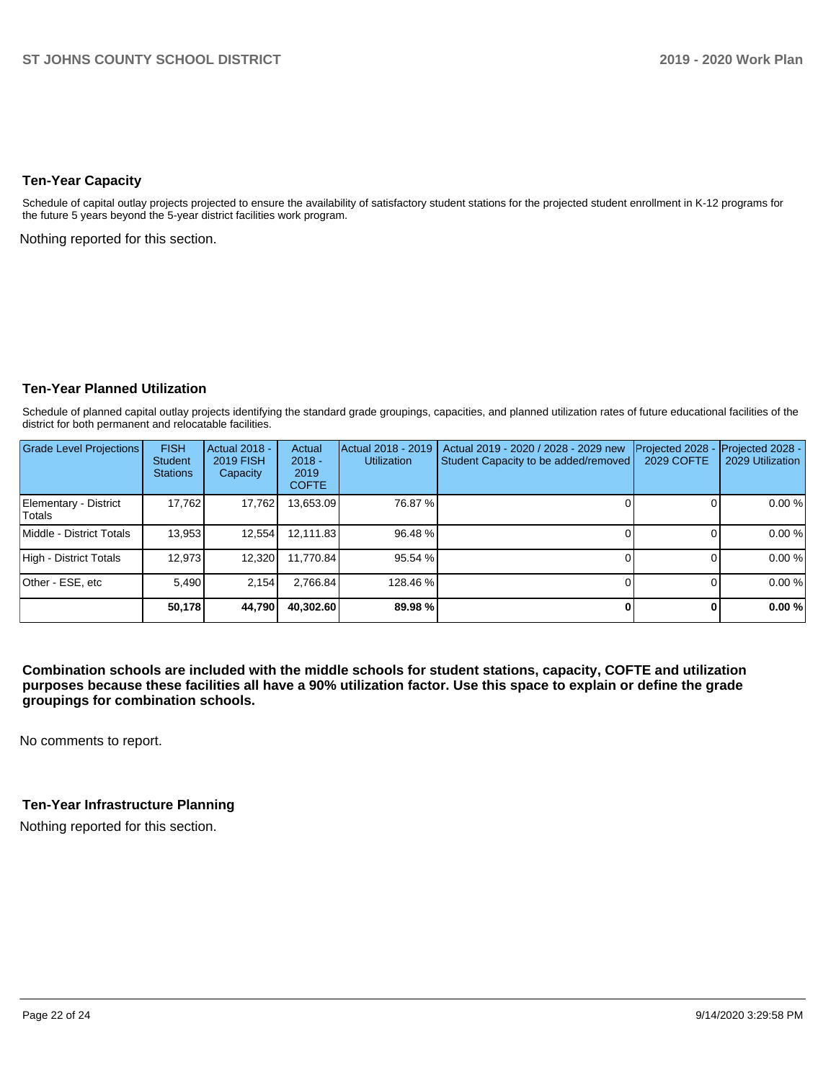#### **Ten-Year Capacity**

Schedule of capital outlay projects projected to ensure the availability of satisfactory student stations for the projected student enrollment in K-12 programs for the future 5 years beyond the 5-year district facilities work program.

Nothing reported for this section.

### **Ten-Year Planned Utilization**

Schedule of planned capital outlay projects identifying the standard grade groupings, capacities, and planned utilization rates of future educational facilities of the district for both permanent and relocatable facilities.

| <b>Grade Level Projections</b>   | <b>FISH</b><br><b>Student</b><br><b>Stations</b> | Actual 2018 -<br><b>2019 FISH</b><br>Capacity | Actual<br>$2018 -$<br>2019<br><b>COFTE</b> | Actual 2018 - 2019<br><b>Utilization</b> | Actual 2019 - 2020 / 2028 - 2029 new<br>Student Capacity to be added/removed | Projected 2028<br>2029 COFTE | Projected 2028 -<br>2029 Utilization |
|----------------------------------|--------------------------------------------------|-----------------------------------------------|--------------------------------------------|------------------------------------------|------------------------------------------------------------------------------|------------------------------|--------------------------------------|
| Elementary - District<br>lTotals | 17,762                                           | 17,762                                        | 13,653.09                                  | 76.87 %                                  |                                                                              |                              | 0.00 %                               |
| Middle - District Totals         | 13.953                                           | 12.554                                        | 12,111.83                                  | 96.48 %                                  |                                                                              |                              | 0.00 %                               |
| High - District Totals           | 12.973                                           | 12,320                                        | 11.770.84                                  | 95.54 %                                  |                                                                              |                              | 0.00 %                               |
| Other - ESE, etc                 | 5.490                                            | 2.154                                         | 2.766.84                                   | 128.46 %                                 |                                                                              |                              | 0.00 %                               |
|                                  | 50,178                                           | 44,790                                        | 40.302.60                                  | 89.98 %                                  |                                                                              |                              | 0.00 %                               |

**Combination schools are included with the middle schools for student stations, capacity, COFTE and utilization purposes because these facilities all have a 90% utilization factor. Use this space to explain or define the grade groupings for combination schools.** 

No comments to report.

### **Ten-Year Infrastructure Planning**

Nothing reported for this section.